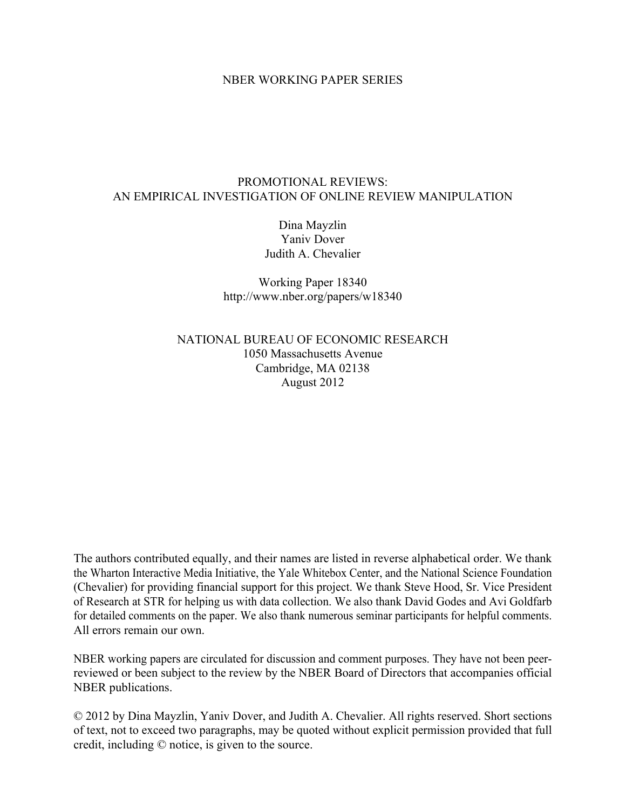## NBER WORKING PAPER SERIES

## PROMOTIONAL REVIEWS: AN EMPIRICAL INVESTIGATION OF ONLINE REVIEW MANIPULATION

Dina Mayzlin Yaniv Dover Judith A. Chevalier

Working Paper 18340 http://www.nber.org/papers/w18340

NATIONAL BUREAU OF ECONOMIC RESEARCH 1050 Massachusetts Avenue Cambridge, MA 02138 August 2012

The authors contributed equally, and their names are listed in reverse alphabetical order. We thank the Wharton Interactive Media Initiative, the Yale Whitebox Center, and the National Science Foundation (Chevalier) for providing financial support for this project. We thank Steve Hood, Sr. Vice President of Research at STR for helping us with data collection. We also thank David Godes and Avi Goldfarb for detailed comments on the paper. We also thank numerous seminar participants for helpful comments. All errors remain our own.

NBER working papers are circulated for discussion and comment purposes. They have not been peerreviewed or been subject to the review by the NBER Board of Directors that accompanies official NBER publications.

© 2012 by Dina Mayzlin, Yaniv Dover, and Judith A. Chevalier. All rights reserved. Short sections of text, not to exceed two paragraphs, may be quoted without explicit permission provided that full credit, including © notice, is given to the source.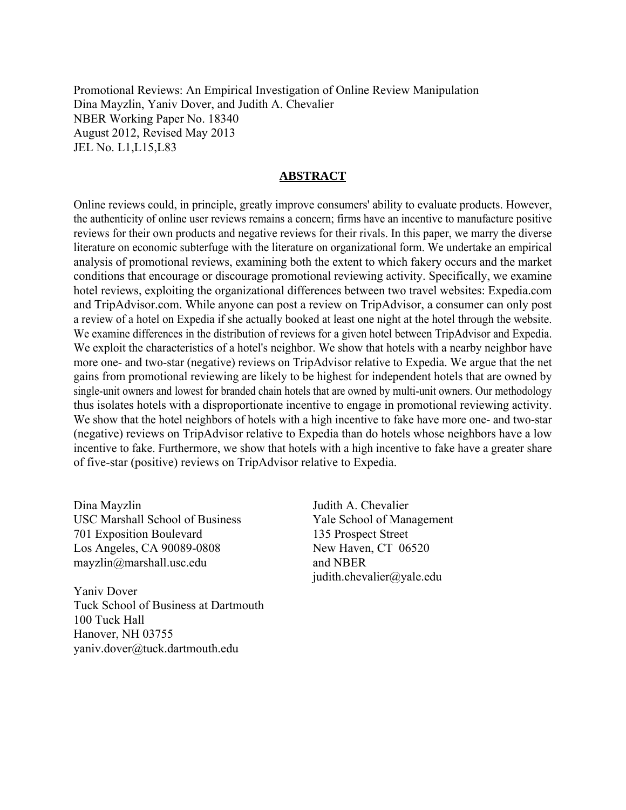Promotional Reviews: An Empirical Investigation of Online Review Manipulation Dina Mayzlin, Yaniv Dover, and Judith A. Chevalier NBER Working Paper No. 18340 August 2012, Revised May 2013 JEL No. L1,L15,L83

## **ABSTRACT**

Online reviews could, in principle, greatly improve consumers' ability to evaluate products. However, the authenticity of online user reviews remains a concern; firms have an incentive to manufacture positive reviews for their own products and negative reviews for their rivals. In this paper, we marry the diverse literature on economic subterfuge with the literature on organizational form. We undertake an empirical analysis of promotional reviews, examining both the extent to which fakery occurs and the market conditions that encourage or discourage promotional reviewing activity. Specifically, we examine hotel reviews, exploiting the organizational differences between two travel websites: Expedia.com and TripAdvisor.com. While anyone can post a review on TripAdvisor, a consumer can only post a review of a hotel on Expedia if she actually booked at least one night at the hotel through the website. We examine differences in the distribution of reviews for a given hotel between TripAdvisor and Expedia. We exploit the characteristics of a hotel's neighbor. We show that hotels with a nearby neighbor have more one- and two-star (negative) reviews on TripAdvisor relative to Expedia. We argue that the net gains from promotional reviewing are likely to be highest for independent hotels that are owned by single-unit owners and lowest for branded chain hotels that are owned by multi-unit owners. Our methodology thus isolates hotels with a disproportionate incentive to engage in promotional reviewing activity. We show that the hotel neighbors of hotels with a high incentive to fake have more one- and two-star (negative) reviews on TripAdvisor relative to Expedia than do hotels whose neighbors have a low incentive to fake. Furthermore, we show that hotels with a high incentive to fake have a greater share of five-star (positive) reviews on TripAdvisor relative to Expedia.

Dina Mayzlin USC Marshall School of Business 701 Exposition Boulevard Los Angeles, CA 90089-0808 mayzlin@marshall.usc.edu

Yaniv Dover Tuck School of Business at Dartmouth 100 Tuck Hall Hanover, NH 03755 yaniv.dover@tuck.dartmouth.edu

Judith A. Chevalier Yale School of Management 135 Prospect Street New Haven, CT 06520 and NBER judith.chevalier@yale.edu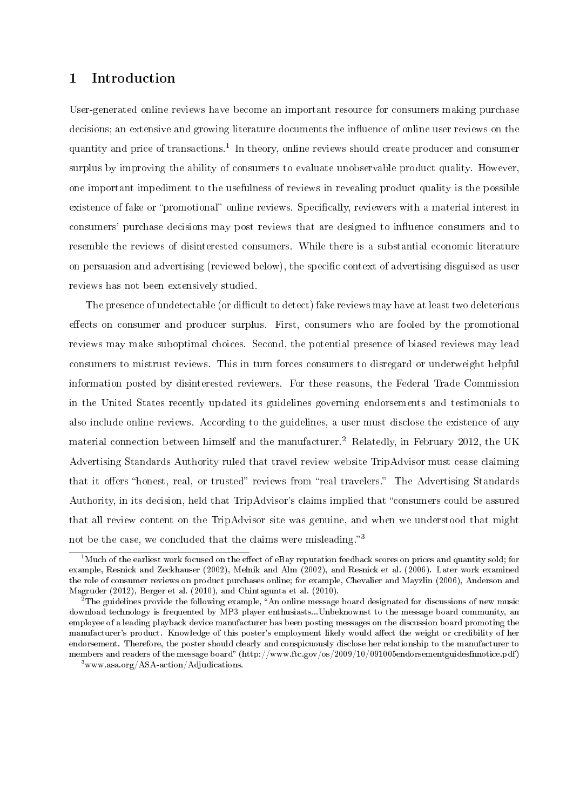# 1 Introduction

User-generated online reviews have become an important resource for consumers making purchase decisions; an extensive and growing literature documents the influence of online user reviews on the quantity and price of transactions.<sup>1</sup> In theory, online reviews should create producer and consumer surplus by improving the ability of consumers to evaluate unobservable product quality. However, one important impediment to the usefulness of reviews in revealing product quality is the possible existence of fake or "promotional" online reviews. Specifically, reviewers with a material interest in consumers' purchase decisions may post reviews that are designed to influence consumers and to resemble the reviews of disinterested consumers. While there is a substantial economic literature on persuasion and advertising (reviewed below), the specific context of advertising disguised as user reviews has not been extensively studied.

The presence of undetectable (or difficult to detect) fake reviews may have at least two deleterious effects on consumer and producer surplus. First, consumers who are fooled by the promotional reviews may make suboptimal choices. Second, the potential presence of biased reviews may lead consumers to mistrust reviews. This in turn forces consumers to disregard or underweight helpful information posted by disinterested reviewers. For these reasons, the Federal Trade Commission in the United States recently updated its guidelines governing endorsements and testimonials to also include online reviews. According to the guidelines, a user must disclose the existence of any material connection between himself and the manufacturer.<sup>2</sup> Relatedly, in February 2012, the UK Advertising Standards Authority ruled that travel review website TripAdvisor must cease claiming that it offers "honest, real, or trusted" reviews from "real travelers." The Advertising Standards Authority, in its decision, held that TripAdvisor's claims implied that "consumers could be assured that all review content on the TripAdvisor site was genuine, and when we understood that might not be the case, we concluded that the claims were misleading.<sup>3</sup>

 $1<sup>1</sup>$ Much of the earliest work focused on the effect of eBay reputation feedback scores on prices and quantity sold; for example, Resnick and Zeckhauser (2002), Melnik and Alm (2002), and Resnick et al. (2006). Later work examined the role of consumer reviews on product purchases online; for example, Chevalier and Mayzlin (2006), Anderson and Magruder (2012), Berger et al. (2010), and Chintagunta et al. (2010).

 $^{2}$ The guidelines provide the following example, "An online message board designated for discussions of new music download technology is frequented by MP3 player enthusiasts...Unbeknownst to the message board community, an employee of a leading playback device manufacturer has been posting messages on the discussion board promoting the manufacturer's product. Knowledge of this poster's employment likely would affect the weight or credibility of her endorsement. Therefore, the poster should clearly and conspicuously disclose her relationship to the manufacturer to members and readers of the message board" (http://www.ftc.gov/os/2009/10/091005endorsementguidesfnnotice.pdf)

<sup>3</sup>www.asa.org/ASA-action/Adjudications.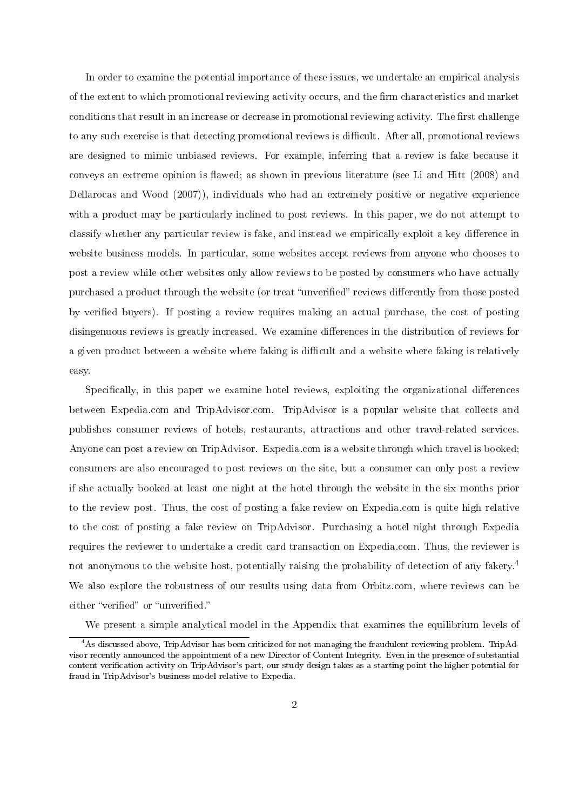In order to examine the potential importance of these issues, we undertake an empirical analysis of the extent to which promotional reviewing activity occurs, and the firm characteristics and market conditions that result in an increase or decrease in promotional reviewing activity. The first challenge to any such exercise is that detecting promotional reviews is difficult. After all, promotional reviews are designed to mimic unbiased reviews. For example, inferring that a review is fake because it conveys an extreme opinion is flawed; as shown in previous literature (see Li and Hitt (2008) and Dellarocas and Wood (2007)), individuals who had an extremely positive or negative experience with a product may be particularly inclined to post reviews. In this paper, we do not attempt to classify whether any particular review is fake, and instead we empirically exploit a key difference in website business models. In particular, some websites accept reviews from anyone who chooses to post a review while other websites only allow reviews to be posted by consumers who have actually purchased a product through the website (or treat "unverified" reviews differently from those posted by verified buyers). If posting a review requires making an actual purchase, the cost of posting disingenuous reviews is greatly increased. We examine differences in the distribution of reviews for a given product between a website where faking is difficult and a website where faking is relatively easy.

Specifically, in this paper we examine hotel reviews, exploiting the organizational differences between Expedia.com and TripAdvisor.com. TripAdvisor is a popular website that collects and publishes consumer reviews of hotels, restaurants, attractions and other travel-related services. Anyone can post a review on TripAdvisor. Expedia.com is a website through which travel is booked; consumers are also encouraged to post reviews on the site, but a consumer can only post a review if she actually booked at least one night at the hotel through the website in the six months prior to the review post. Thus, the cost of posting a fake review on Expedia.com is quite high relative to the cost of posting a fake review on TripAdvisor. Purchasing a hotel night through Expedia requires the reviewer to undertake a credit card transaction on Expedia.com. Thus, the reviewer is not anonymous to the website host, potentially raising the probability of detection of any fakery.<sup>4</sup> We also explore the robustness of our results using data from Orbitz.com, where reviews can be either "verified" or "unverified."

We present a simple analytical model in the Appendix that examines the equilibrium levels of

<sup>&</sup>lt;sup>4</sup>As discussed above, TripAdvisor has been criticized for not managing the fraudulent reviewing problem. TripAdvisor recently announced the appointment of a new Director of Content Integrity. Even in the presence of substantial content verification activity on TripAdvisor's part, our study design takes as a starting point the higher potential for fraud in TripAdvisor's business model relative to Expedia.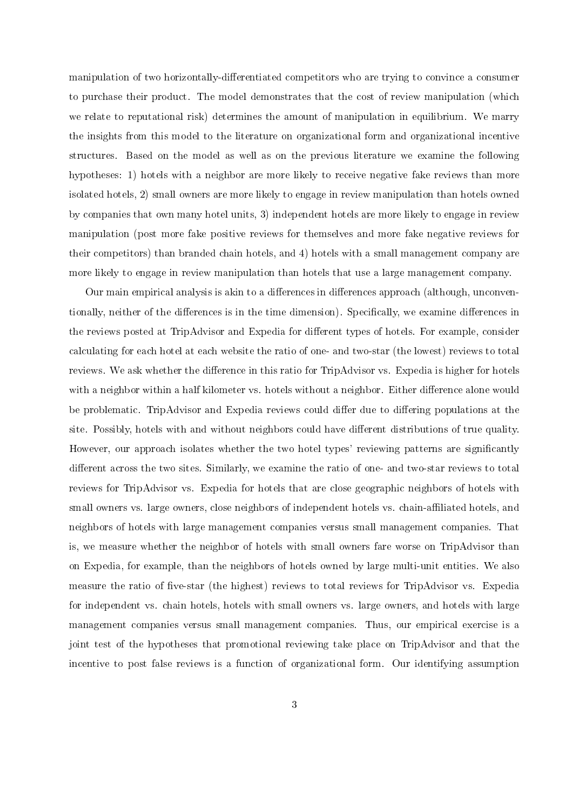manipulation of two horizontally-differentiated competitors who are trying to convince a consumer to purchase their product. The model demonstrates that the cost of review manipulation (which we relate to reputational risk) determines the amount of manipulation in equilibrium. We marry the insights from this model to the literature on organizational form and organizational incentive structures. Based on the model as well as on the previous literature we examine the following hypotheses: 1) hotels with a neighbor are more likely to receive negative fake reviews than more isolated hotels, 2) small owners are more likely to engage in review manipulation than hotels owned by companies that own many hotel units, 3) independent hotels are more likely to engage in review manipulation (post more fake positive reviews for themselves and more fake negative reviews for their competitors) than branded chain hotels, and 4) hotels with a small management company are more likely to engage in review manipulation than hotels that use a large management company.

Our main empirical analysis is akin to a differences in differences approach (although, unconventionally, neither of the differences is in the time dimension). Specifically, we examine differences in the reviews posted at TripAdvisor and Expedia for different types of hotels. For example, consider calculating for each hotel at each website the ratio of one- and two-star (the lowest) reviews to total reviews. We ask whether the difference in this ratio for TripAdvisor vs. Expedia is higher for hotels with a neighbor within a half kilometer vs. hotels without a neighbor. Either difference alone would be problematic. TripAdvisor and Expedia reviews could differ due to differing populations at the site. Possibly, hotels with and without neighbors could have different distributions of true quality. However, our approach isolates whether the two hotel types' reviewing patterns are significantly different across the two sites. Similarly, we examine the ratio of one- and two-star reviews to total reviews for TripAdvisor vs. Expedia for hotels that are close geographic neighbors of hotels with small owners vs. large owners, close neighbors of independent hotels vs. chain-affiliated hotels, and neighbors of hotels with large management companies versus small management companies. That is, we measure whether the neighbor of hotels with small owners fare worse on TripAdvisor than on Expedia, for example, than the neighbors of hotels owned by large multi-unit entities. We also measure the ratio of five-star (the highest) reviews to total reviews for TripAdvisor vs. Expedia for independent vs. chain hotels, hotels with small owners vs. large owners, and hotels with large management companies versus small management companies. Thus, our empirical exercise is a joint test of the hypotheses that promotional reviewing take place on TripAdvisor and that the incentive to post false reviews is a function of organizational form. Our identifying assumption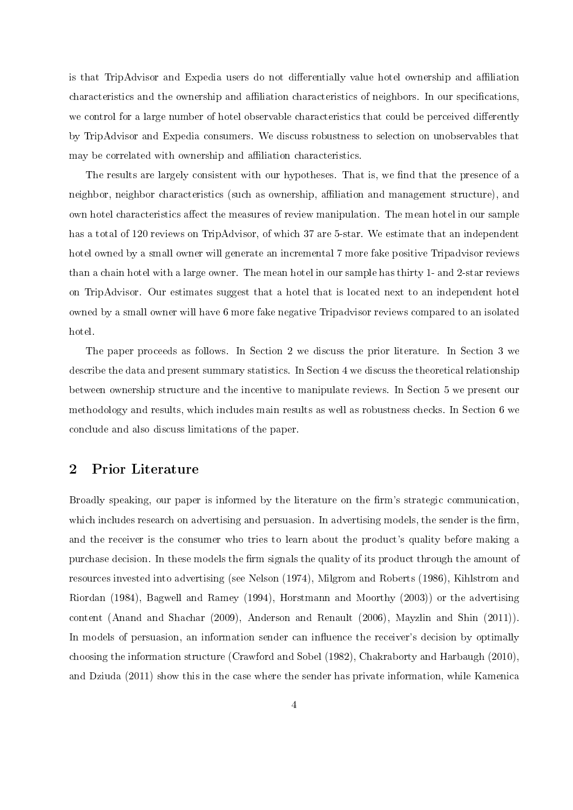is that TripAdvisor and Expedia users do not differentially value hotel ownership and affiliation characteristics and the ownership and affiliation characteristics of neighbors. In our specifications, we control for a large number of hotel observable characteristics that could be perceived differently by TripAdvisor and Expedia consumers. We discuss robustness to selection on unobservables that may be correlated with ownership and affiliation characteristics.

The results are largely consistent with our hypotheses. That is, we find that the presence of a neighbor, neighbor characteristics (such as ownership, affiliation and management structure), and own hotel characteristics affect the measures of review manipulation. The mean hotel in our sample has a total of 120 reviews on TripAdvisor, of which 37 are 5-star. We estimate that an independent hotel owned by a small owner will generate an incremental 7 more fake positive Tripadvisor reviews than a chain hotel with a large owner. The mean hotel in our sample has thirty 1- and 2-star reviews on TripAdvisor. Our estimates suggest that a hotel that is located next to an independent hotel owned by a small owner will have 6 more fake negative Tripadvisor reviews compared to an isolated hotel.

The paper proceeds as follows. In Section 2 we discuss the prior literature. In Section 3 we describe the data and present summary statistics. In Section 4 we discuss the theoretical relationship between ownership structure and the incentive to manipulate reviews. In Section 5 we present our methodology and results, which includes main results as well as robustness checks. In Section 6 we conclude and also discuss limitations of the paper.

# 2 Prior Literature

Broadly speaking, our paper is informed by the literature on the firm's strategic communication, which includes research on advertising and persuasion. In advertising models, the sender is the firm, and the receiver is the consumer who tries to learn about the product's quality before making a purchase decision. In these models the firm signals the quality of its product through the amount of resources invested into advertising (see Nelson (1974), Milgrom and Roberts (1986), Kihlstrom and Riordan (1984), Bagwell and Ramey (1994), Horstmann and Moorthy (2003)) or the advertising content (Anand and Shachar (2009), Anderson and Renault (2006), Mayzlin and Shin (2011)). In models of persuasion, an information sender can influence the receiver's decision by optimally choosing the information structure (Crawford and Sobel (1982), Chakraborty and Harbaugh (2010), and Dziuda (2011) show this in the case where the sender has private information, while Kamenica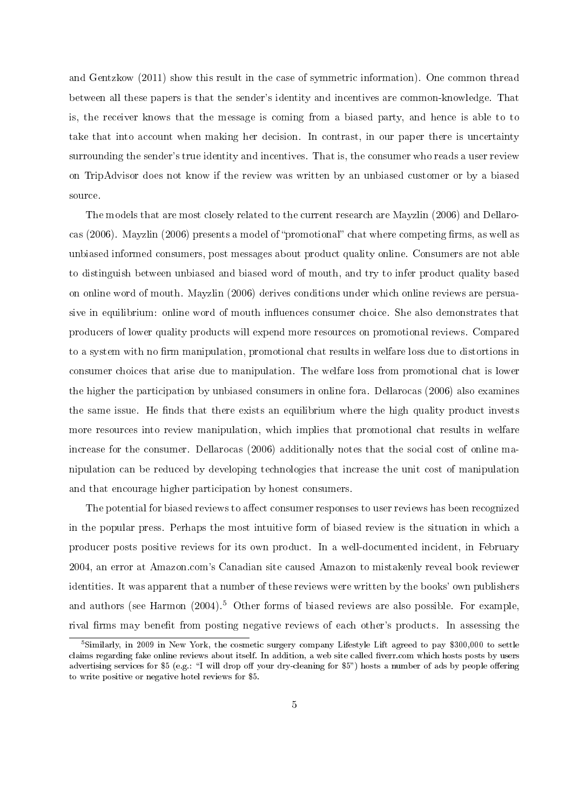and Gentzkow (2011) show this result in the case of symmetric information). One common thread between all these papers is that the sender's identity and incentives are common-knowledge. That is, the receiver knows that the message is coming from a biased party, and hence is able to to take that into account when making her decision. In contrast, in our paper there is uncertainty surrounding the sender's true identity and incentives. That is, the consumer who reads a user review on TripAdvisor does not know if the review was written by an unbiased customer or by a biased source.

The models that are most closely related to the current research are Mayzlin (2006) and Dellarocas (2006). Mayzlin (2006) presents a model of "promotional" chat where competing firms, as well as unbiased informed consumers, post messages about product quality online. Consumers are not able to distinguish between unbiased and biased word of mouth, and try to infer product quality based on online word of mouth. Mayzlin (2006) derives conditions under which online reviews are persuasive in equilibrium: online word of mouth influences consumer choice. She also demonstrates that producers of lower quality products will expend more resources on promotional reviews. Compared to a system with no firm manipulation, promotional chat results in welfare loss due to distortions in consumer choices that arise due to manipulation. The welfare loss from promotional chat is lower the higher the participation by unbiased consumers in online fora. Dellarocas (2006) also examines the same issue. He finds that there exists an equilibrium where the high quality product invests more resources into review manipulation, which implies that promotional chat results in welfare increase for the consumer. Dellarocas (2006) additionally notes that the social cost of online manipulation can be reduced by developing technologies that increase the unit cost of manipulation and that encourage higher participation by honest consumers.

The potential for biased reviews to affect consumer responses to user reviews has been recognized in the popular press. Perhaps the most intuitive form of biased review is the situation in which a producer posts positive reviews for its own product. In a well-documented incident, in February 2004, an error at Amazon.com's Canadian site caused Amazon to mistakenly reveal book reviewer identities. It was apparent that a number of these reviews were written by the books' own publishers and authors (see Harmon  $(2004)^5$  Other forms of biased reviews are also possible. For example, rival firms may benefit from posting negative reviews of each other's products. In assessing the

<sup>&</sup>lt;sup>5</sup>Similarly, in 2009 in New York, the cosmetic surgery company Lifestyle Lift agreed to pay \$300,000 to settle claims regarding fake online reviews about itself. In addition, a web site called fiverr.com which hosts posts by users advertising services for \$5 (e.g.: "I will drop off your dry-cleaning for \$5") hosts a number of ads by people offering to write positive or negative hotel reviews for \$5.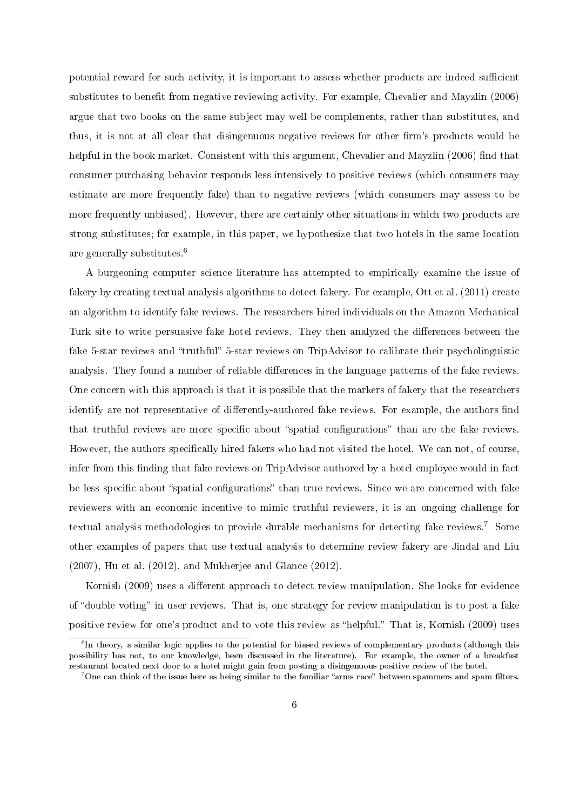potential reward for such activity, it is important to assess whether products are indeed sufficient substitutes to benefit from negative reviewing activity. For example, Chevalier and Mayzlin (2006) argue that two books on the same subject may well be complements, rather than substitutes, and thus, it is not at all clear that disingenuous negative reviews for other firm's products would be helpful in the book market. Consistent with this argument, Chevalier and Mayzlin (2006) find that consumer purchasing behavior responds less intensively to positive reviews (which consumers may estimate are more frequently fake) than to negative reviews (which consumers may assess to be more frequently unbiased). However, there are certainly other situations in which two products are strong substitutes; for example, in this paper, we hypothesize that two hotels in the same location are generally substitutes.<sup>6</sup>

A burgeoning computer science literature has attempted to empirically examine the issue of fakery by creating textual analysis algorithms to detect fakery. For example, Ott et al. (2011) create an algorithm to identify fake reviews. The researchers hired individuals on the Amazon Mechanical Turk site to write persuasive fake hotel reviews. They then analyzed the differences between the fake 5-star reviews and "truthful" 5-star reviews on TripAdvisor to calibrate their psycholinguistic analysis. They found a number of reliable differences in the language patterns of the fake reviews. One concern with this approach is that it is possible that the markers of fakery that the researchers identify are not representative of differently-authored fake reviews. For example, the authors find that truthful reviews are more specific about "spatial configurations" than are the fake reviews. However, the authors specifically hired fakers who had not visited the hotel. We can not, of course, infer from this finding that fake reviews on TripAdvisor authored by a hotel employee would in fact be less specific about "spatial configurations" than true reviews. Since we are concerned with fake reviewers with an economic incentive to mimic truthful reviewers, it is an ongoing challenge for textual analysis methodologies to provide durable mechanisms for detecting fake reviews.<sup>7</sup> Some other examples of papers that use textual analysis to determine review fakery are Jindal and Liu (2007), Hu et al. (2012), and Mukherjee and Glance (2012).

Kornish (2009) uses a different approach to detect review manipulation. She looks for evidence of "double voting" in user reviews. That is, one strategy for review manipulation is to post a fake positive review for one's product and to vote this review as "helpful." That is, Kornish (2009) uses

 ${}^6$ In theory, a similar logic applies to the potential for biased reviews of complementary products (although this possibility has not, to our knowledge, been discussed in the literature). For example, the owner of a breakfast restaurant located next door to a hotel might gain from posting a disingenuous positive review of the hotel.

 $^7$ One can think of the issue here as being similar to the familiar "arms race" between spammers and spam filters.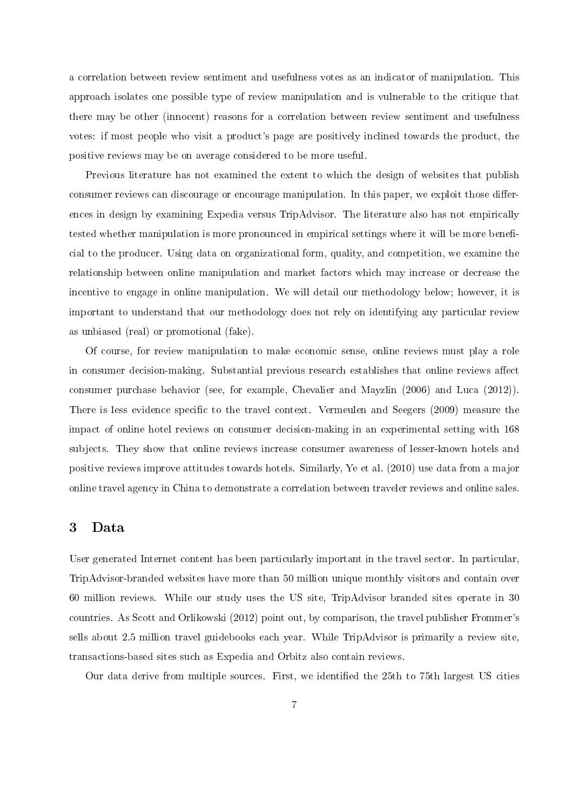a correlation between review sentiment and usefulness votes as an indicator of manipulation. This approach isolates one possible type of review manipulation and is vulnerable to the critique that there may be other (innocent) reasons for a correlation between review sentiment and usefulness votes: if most people who visit a product's page are positively inclined towards the product, the positive reviews may be on average considered to be more useful.

Previous literature has not examined the extent to which the design of websites that publish consumer reviews can discourage or encourage manipulation. In this paper, we exploit those differences in design by examining Expedia versus TripAdvisor. The literature also has not empirically tested whether manipulation is more pronounced in empirical settings where it will be more beneficial to the producer. Using data on organizational form, quality, and competition, we examine the relationship between online manipulation and market factors which may increase or decrease the incentive to engage in online manipulation. We will detail our methodology below; however, it is important to understand that our methodology does not rely on identifying any particular review as unbiased (real) or promotional (fake).

Of course, for review manipulation to make economic sense, online reviews must play a role in consumer decision-making. Substantial previous research establishes that online reviews affect consumer purchase behavior (see, for example, Chevalier and Mayzlin (2006) and Luca (2012)). There is less evidence specific to the travel context. Vermeulen and Seegers (2009) measure the impact of online hotel reviews on consumer decision-making in an experimental setting with 168 subjects. They show that online reviews increase consumer awareness of lesser-known hotels and positive reviews improve attitudes towards hotels. Similarly, Ye et al. (2010) use data from a major online travel agency in China to demonstrate a correlation between traveler reviews and online sales.

# 3 Data

User generated Internet content has been particularly important in the travel sector. In particular, TripAdvisor-branded websites have more than 50 million unique monthly visitors and contain over 60 million reviews. While our study uses the US site, TripAdvisor branded sites operate in 30 countries. As Scott and Orlikowski (2012) point out, by comparison, the travel publisher Frommer's sells about 2.5 million travel guidebooks each year. While TripAdvisor is primarily a review site, transactions-based sites such as Expedia and Orbitz also contain reviews.

Our data derive from multiple sources. First, we identified the 25th to 75th largest US cities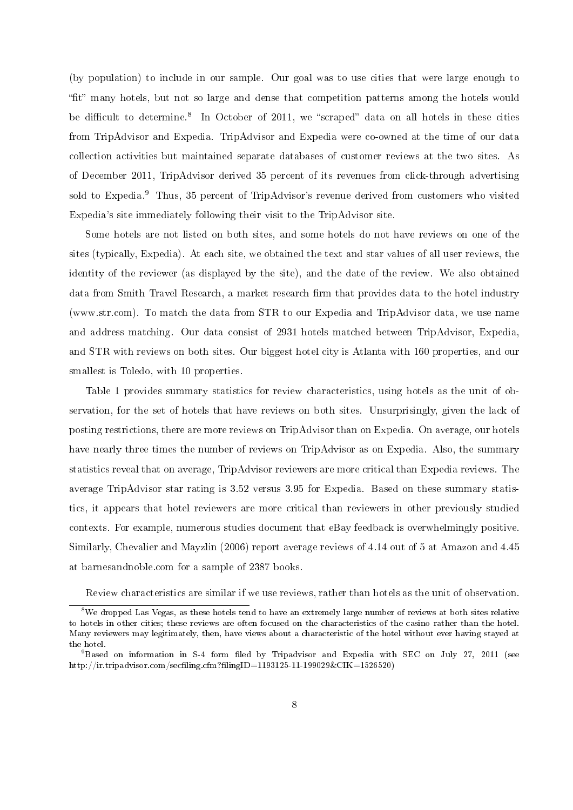(by population) to include in our sample. Our goal was to use cities that were large enough to "fit" many hotels, but not so large and dense that competition patterns among the hotels would be difficult to determine.<sup>8</sup> In October of 2011, we "scraped" data on all hotels in these cities from TripAdvisor and Expedia. TripAdvisor and Expedia were co-owned at the time of our data collection activities but maintained separate databases of customer reviews at the two sites. As of December 2011, TripAdvisor derived 35 percent of its revenues from click-through advertising sold to Expedia.<sup>9</sup> Thus, 35 percent of TripAdvisor's revenue derived from customers who visited Expedia's site immediately following their visit to the TripAdvisor site.

Some hotels are not listed on both sites, and some hotels do not have reviews on one of the sites (typically, Expedia). At each site, we obtained the text and star values of all user reviews, the identity of the reviewer (as displayed by the site), and the date of the review. We also obtained data from Smith Travel Research, a market research firm that provides data to the hotel industry (www.str.com). To match the data from STR to our Expedia and TripAdvisor data, we use name and address matching. Our data consist of 2931 hotels matched between TripAdvisor, Expedia, and STR with reviews on both sites. Our biggest hotel city is Atlanta with 160 properties, and our smallest is Toledo, with 10 properties.

Table 1 provides summary statistics for review characteristics, using hotels as the unit of observation, for the set of hotels that have reviews on both sites. Unsurprisingly, given the lack of posting restrictions, there are more reviews on TripAdvisor than on Expedia. On average, our hotels have nearly three times the number of reviews on TripAdvisor as on Expedia. Also, the summary statistics reveal that on average, TripAdvisor reviewers are more critical than Expedia reviews. The average TripAdvisor star rating is 3.52 versus 3.95 for Expedia. Based on these summary statistics, it appears that hotel reviewers are more critical than reviewers in other previously studied contexts. For example, numerous studies document that eBay feedback is overwhelmingly positive. Similarly, Chevalier and Mayzlin (2006) report average reviews of 4.14 out of 5 at Amazon and 4.45 at barnesandnoble.com for a sample of 2387 books.

Review characteristics are similar if we use reviews, rather than hotels as the unit of observation.

<sup>&</sup>lt;sup>8</sup>We dropped Las Vegas, as these hotels tend to have an extremely large number of reviews at both sites relative to hotels in other cities; these reviews are often focused on the characteristics of the casino rather than the hotel. Many reviewers may legitimately, then, have views about a characteristic of the hotel without ever having stayed at the hotel.

 $9B$ ased on information in S-4 form filed by Tripadvisor and Expedia with SEC on July 27, 2011 (see http://ir.tripadvisor.com/secfiling.cfm?filingID=1193125-11-199029&CIK=1526520)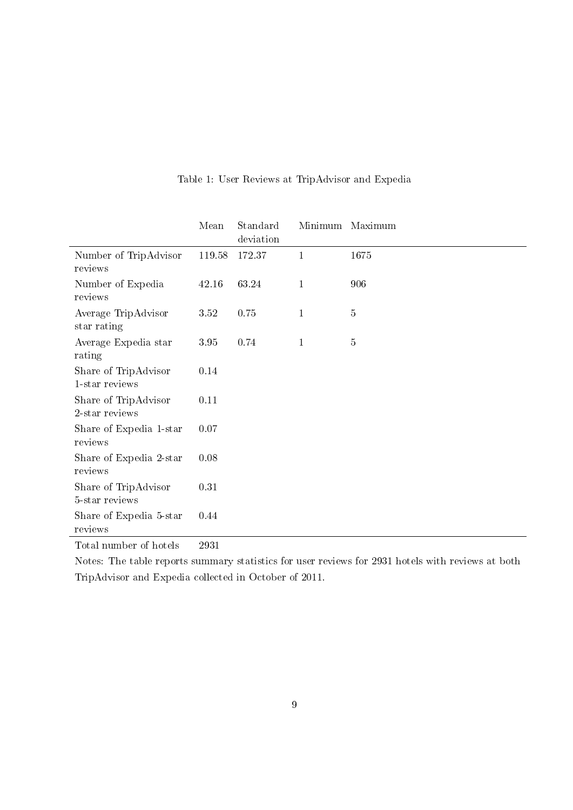|                                        | Mean   | Standard<br>deviation |              | Minimum Maximum |
|----------------------------------------|--------|-----------------------|--------------|-----------------|
| Number of TripAdvisor<br>reviews       | 119.58 | 172.37                | $\mathbf{1}$ | 1675            |
| Number of Expedia<br>reviews           | 42.16  | 63.24                 | $\mathbf{1}$ | 906             |
| Average TripAdvisor<br>star rating     | 3.52   | 0.75                  | $\mathbf{1}$ | $5\,$           |
| Average Expedia star<br>rating         | 3.95   | 0.74                  | $\mathbf{1}$ | $\overline{5}$  |
| Share of TripAdvisor<br>1-star reviews | 0.14   |                       |              |                 |
| Share of TripAdvisor<br>2-star reviews | 0.11   |                       |              |                 |
| Share of Expedia 1-star<br>reviews     | 0.07   |                       |              |                 |
| Share of Expedia 2-star<br>reviews     | 0.08   |                       |              |                 |
| Share of TripAdvisor<br>5-star reviews | 0.31   |                       |              |                 |
| Share of Expedia 5-star<br>reviews     | 0.44   |                       |              |                 |

# Table 1: User Reviews at TripAdvisor and Expedia

Total number of hotels 2931

Notes: The table reports summary statistics for user reviews for 2931 hotels with reviews at both TripAdvisor and Expedia collected in October of 2011.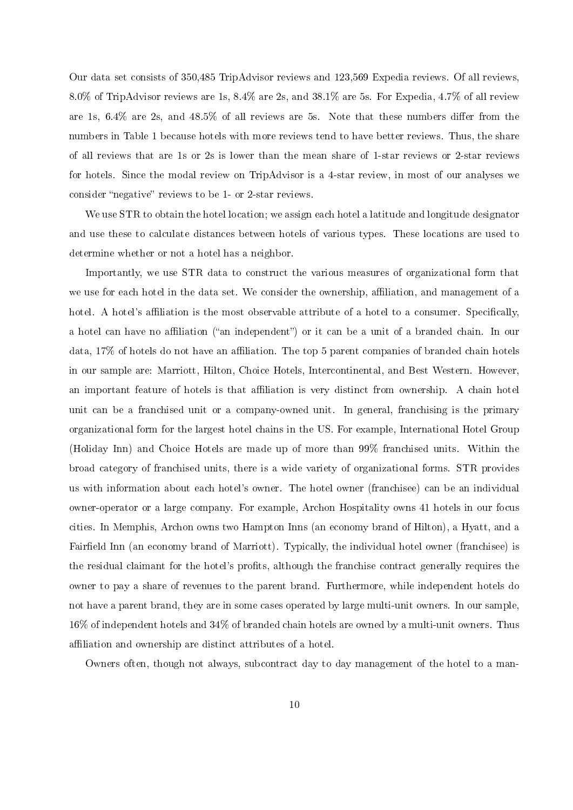Our data set consists of 350,485 TripAdvisor reviews and 123,569 Expedia reviews. Of all reviews, 8.0% of TripAdvisor reviews are 1s, 8.4% are 2s, and 38.1% are 5s. For Expedia, 4.7% of all review are 1s,  $6.4\%$  are 2s, and  $48.5\%$  of all reviews are 5s. Note that these numbers differ from the numbers in Table 1 because hotels with more reviews tend to have better reviews. Thus, the share of all reviews that are 1s or 2s is lower than the mean share of 1-star reviews or 2-star reviews for hotels. Since the modal review on TripAdvisor is a 4-star review, in most of our analyses we consider "negative" reviews to be 1- or 2-star reviews.

We use STR to obtain the hotel location; we assign each hotel a latitude and longitude designator and use these to calculate distances between hotels of various types. These locations are used to determine whether or not a hotel has a neighbor.

Importantly, we use STR data to construct the various measures of organizational form that we use for each hotel in the data set. We consider the ownership, affiliation, and management of a hotel. A hotel's affiliation is the most observable attribute of a hotel to a consumer. Specifically, a hotel can have no affiliation ("an independent") or it can be a unit of a branded chain. In our data, 17% of hotels do not have an affiliation. The top 5 parent companies of branded chain hotels in our sample are: Marriott, Hilton, Choice Hotels, Intercontinental, and Best Western. However, an important feature of hotels is that affiliation is very distinct from ownership. A chain hotel unit can be a franchised unit or a company-owned unit. In general, franchising is the primary organizational form for the largest hotel chains in the US. For example, International Hotel Group (Holiday Inn) and Choice Hotels are made up of more than 99% franchised units. Within the broad category of franchised units, there is a wide variety of organizational forms. STR provides us with information about each hotel's owner. The hotel owner (franchisee) can be an individual owner-operator or a large company. For example, Archon Hospitality owns 41 hotels in our focus cities. In Memphis, Archon owns two Hampton Inns (an economy brand of Hilton), a Hyatt, and a Fairfield Inn (an economy brand of Marriott). Typically, the individual hotel owner (franchisee) is the residual claimant for the hotel's profits, although the franchise contract generally requires the owner to pay a share of revenues to the parent brand. Furthermore, while independent hotels do not have a parent brand, they are in some cases operated by large multi-unit owners. In our sample, 16% of independent hotels and 34% of branded chain hotels are owned by a multi-unit owners. Thus affiliation and ownership are distinct attributes of a hotel.

Owners often, though not always, subcontract day to day management of the hotel to a man-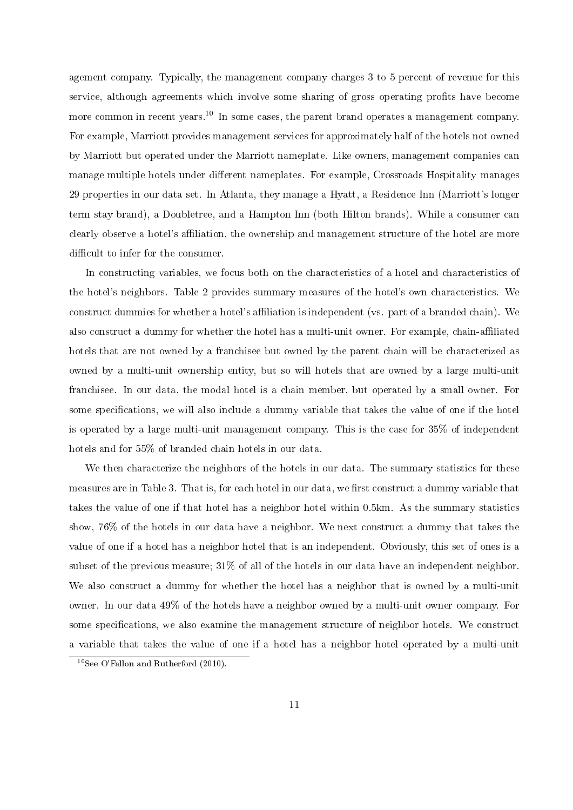agement company. Typically, the management company charges 3 to 5 percent of revenue for this service, although agreements which involve some sharing of gross operating profits have become more common in recent years.<sup>10</sup> In some cases, the parent brand operates a management company. For example, Marriott provides management services for approximately half of the hotels not owned by Marriott but operated under the Marriott nameplate. Like owners, management companies can manage multiple hotels under different nameplates. For example, Crossroads Hospitality manages 29 properties in our data set. In Atlanta, they manage a Hyatt, a Residence Inn (Marriott's longer term stay brand), a Doubletree, and a Hampton Inn (both Hilton brands). While a consumer can clearly observe a hotel's affiliation, the ownership and management structure of the hotel are more difficult to infer for the consumer.

In constructing variables, we focus both on the characteristics of a hotel and characteristics of the hotel's neighbors. Table 2 provides summary measures of the hotel's own characteristics. We construct dummies for whether a hotel's affiliation is independent (vs. part of a branded chain). We also construct a dummy for whether the hotel has a multi-unit owner. For example, chain-affiliated hotels that are not owned by a franchisee but owned by the parent chain will be characterized as owned by a multi-unit ownership entity, but so will hotels that are owned by a large multi-unit franchisee. In our data, the modal hotel is a chain member, but operated by a small owner. For some specifications, we will also include a dummy variable that takes the value of one if the hotel is operated by a large multi-unit management company. This is the case for 35% of independent hotels and for 55% of branded chain hotels in our data.

We then characterize the neighbors of the hotels in our data. The summary statistics for these measures are in Table 3. That is, for each hotel in our data, we first construct a dummy variable that takes the value of one if that hotel has a neighbor hotel within 0.5km. As the summary statistics show, 76% of the hotels in our data have a neighbor. We next construct a dummy that takes the value of one if a hotel has a neighbor hotel that is an independent. Obviously, this set of ones is a subset of the previous measure; 31% of all of the hotels in our data have an independent neighbor. We also construct a dummy for whether the hotel has a neighbor that is owned by a multi-unit owner. In our data 49% of the hotels have a neighbor owned by a multi-unit owner company. For some specifications, we also examine the management structure of neighbor hotels. We construct a variable that takes the value of one if a hotel has a neighbor hotel operated by a multi-unit

 $10$ See O'Fallon and Rutherford (2010).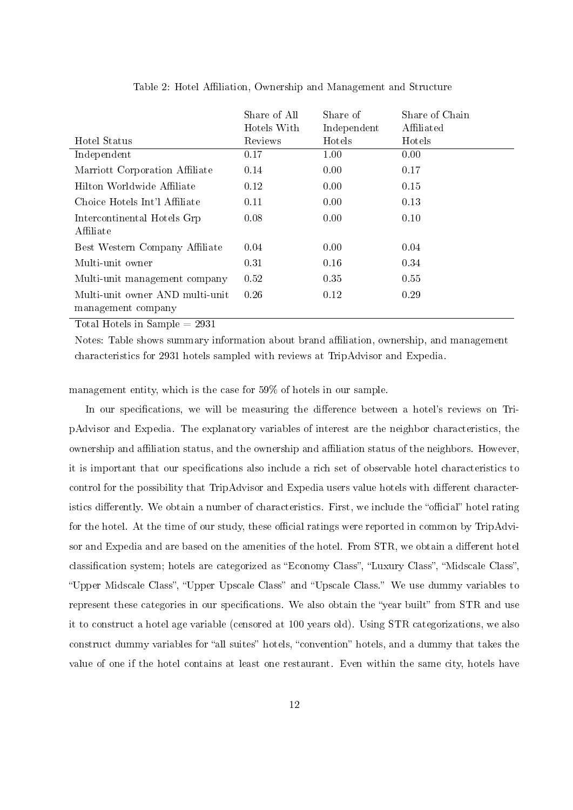|                                                       | Share of All<br>Hotels With | Share of<br>Independent | Share of Chain<br>Affiliated |
|-------------------------------------------------------|-----------------------------|-------------------------|------------------------------|
| Hotel Status                                          | Reviews                     | <b>Hotels</b>           | <b>Hotels</b>                |
| Independent                                           | 0.17                        | 1.00                    | 0.00                         |
| Marriott Corporation Affiliate                        | 0.14                        | 0.00                    | 0.17                         |
| Hilton Worldwide Affiliate                            | 0.12                        | 0.00                    | 0.15                         |
| Choice Hotels Int'l Affiliate                         | 0.11                        | 0.00                    | 0.13                         |
| Intercontinental Hotels Grp<br>Affiliate              | 0.08                        | 0.00                    | 0.10                         |
| Best Western Company Affiliate                        | 0.04                        | 0.00                    | 0.04                         |
| Multi-unit owner                                      | 0.31                        | 0.16                    | 0.34                         |
| Multi-unit management company                         | 0.52                        | 0.35                    | 0.55                         |
| Multi-unit owner AND multi-unit<br>management company | 0.26                        | 0.12                    | 0.29                         |

Table 2: Hotel Affiliation, Ownership and Management and Structure

Total Hotels in Sample  $= 2931$ 

Notes: Table shows summary information about brand affiliation, ownership, and management characteristics for 2931 hotels sampled with reviews at TripAdvisor and Expedia.

management entity, which is the case for 59% of hotels in our sample.

In our specifications, we will be measuring the difference between a hotel's reviews on TripAdvisor and Expedia. The explanatory variables of interest are the neighbor characteristics, the ownership and affiliation status, and the ownership and affiliation status of the neighbors. However, it is important that our specifications also include a rich set of observable hotel characteristics to control for the possibility that TripAdvisor and Expedia users value hotels with different characteristics differently. We obtain a number of characteristics. First, we include the "official" hotel rating for the hotel. At the time of our study, these official ratings were reported in common by TripAdvisor and Expedia and are based on the amenities of the hotel. From STR, we obtain a different hotel classification system; hotels are categorized as "Economy Class", "Luxury Class", "Midscale Class", "Upper Midscale Class", "Upper Upscale Class" and "Upscale Class." We use dummy variables to represent these categories in our specifications. We also obtain the "year built" from STR and use it to construct a hotel age variable (censored at 100 years old). Using STR categorizations, we also construct dummy variables for "all suites" hotels, "convention" hotels, and a dummy that takes the value of one if the hotel contains at least one restaurant. Even within the same city, hotels have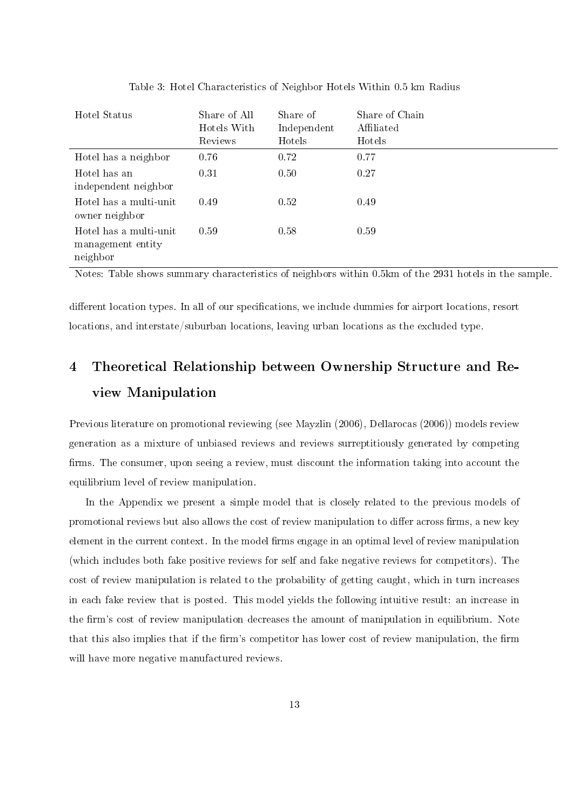| Hotel Status                                            | Share of All<br>Hotels With<br>Reviews | Share of<br>Independent<br>Hotels | Share of Chain<br>Affiliated<br>Hotels |
|---------------------------------------------------------|----------------------------------------|-----------------------------------|----------------------------------------|
| Hotel has a neighbor                                    | 0.76                                   | 0.72                              | 0.77                                   |
| Hotel has an<br>independent neighbor                    | 0.31                                   | 0.50                              | 0.27                                   |
| Hotel has a multi-unit<br>owner neighbor                | 0.49                                   | 0.52                              | 0.49                                   |
| Hotel has a multi-unit<br>management entity<br>neighbor | 0.59                                   | 0.58                              | 0.59                                   |

Table 3: Hotel Characteristics of Neighbor Hotels Within 0.5 km Radius

Notes: Table shows summary characteristics of neighbors within 0.5km of the 2931 hotels in the sample.

different location types. In all of our specifications, we include dummies for airport locations, resort locations, and interstate/suburban locations, leaving urban locations as the excluded type.

# 4 Theoretical Relationship between Ownership Structure and Review Manipulation

Previous literature on promotional reviewing (see Mayzlin (2006), Dellarocas (2006)) models review generation as a mixture of unbiased reviews and reviews surreptitiously generated by competing firms. The consumer, upon seeing a review, must discount the information taking into account the equilibrium level of review manipulation.

In the Appendix we present a simple model that is closely related to the previous models of promotional reviews but also allows the cost of review manipulation to differ across firms, a new key element in the current context. In the model firms engage in an optimal level of review manipulation (which includes both fake positive reviews for self and fake negative reviews for competitors). The cost of review manipulation is related to the probability of getting caught, which in turn increases in each fake review that is posted. This model yields the following intuitive result: an increase in the firm's cost of review manipulation decreases the amount of manipulation in equilibrium. Note that this also implies that if the firm's competitor has lower cost of review manipulation, the firm will have more negative manufactured reviews.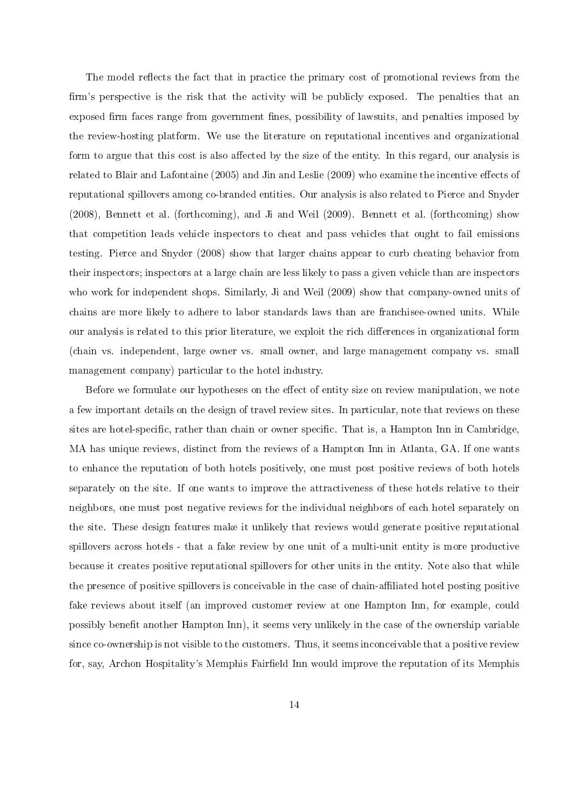The model reflects the fact that in practice the primary cost of promotional reviews from the firm's perspective is the risk that the activity will be publicly exposed. The penalties that an exposed firm faces range from government fines, possibility of lawsuits, and penalties imposed by the review-hosting platform. We use the literature on reputational incentives and organizational form to argue that this cost is also affected by the size of the entity. In this regard, our analysis is related to Blair and Lafontaine (2005) and Jin and Leslie (2009) who examine the incentive effects of reputational spillovers among co-branded entities. Our analysis is also related to Pierce and Snyder (2008), Bennett et al. (forthcoming), and Ji and Weil (2009). Bennett et al. (forthcoming) show that competition leads vehicle inspectors to cheat and pass vehicles that ought to fail emissions testing. Pierce and Snyder (2008) show that larger chains appear to curb cheating behavior from their inspectors; inspectors at a large chain are less likely to pass a given vehicle than are inspectors who work for independent shops. Similarly, Ji and Weil (2009) show that company-owned units of chains are more likely to adhere to labor standards laws than are franchisee-owned units. While our analysis is related to this prior literature, we exploit the rich differences in organizational form (chain vs. independent, large owner vs. small owner, and large management company vs. small management company) particular to the hotel industry.

Before we formulate our hypotheses on the effect of entity size on review manipulation, we note a few important details on the design of travel review sites. In particular, note that reviews on these sites are hotel-specific, rather than chain or owner specific. That is, a Hampton Inn in Cambridge, MA has unique reviews, distinct from the reviews of a Hampton Inn in Atlanta, GA. If one wants to enhance the reputation of both hotels positively, one must post positive reviews of both hotels separately on the site. If one wants to improve the attractiveness of these hotels relative to their neighbors, one must post negative reviews for the individual neighbors of each hotel separately on the site. These design features make it unlikely that reviews would generate positive reputational spillovers across hotels - that a fake review by one unit of a multi-unit entity is more productive because it creates positive reputational spillovers for other units in the entity. Note also that while the presence of positive spillovers is conceivable in the case of chain-affiliated hotel posting positive fake reviews about itself (an improved customer review at one Hampton Inn, for example, could possibly benefit another Hampton Inn), it seems very unlikely in the case of the ownership variable since co-ownership is not visible to the customers. Thus, it seems inconceivable that a positive review for, say, Archon Hospitality's Memphis Fairfield Inn would improve the reputation of its Memphis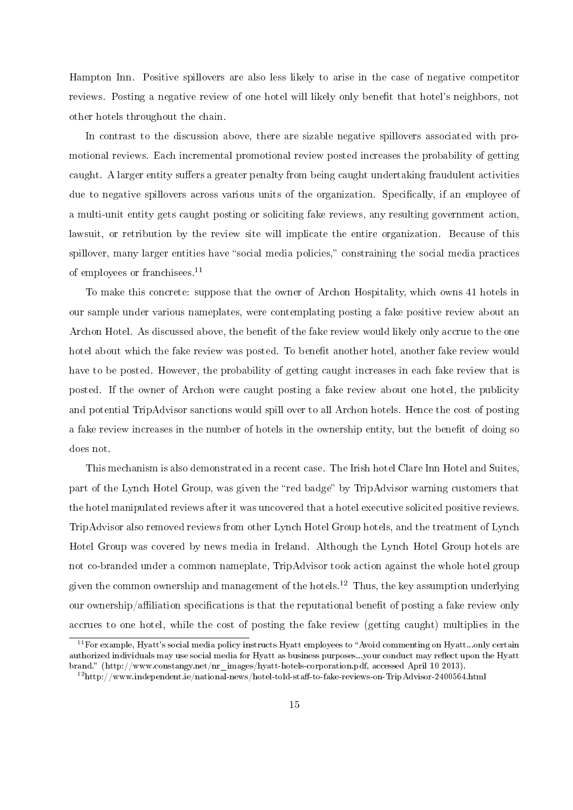Hampton Inn. Positive spillovers are also less likely to arise in the case of negative competitor reviews. Posting a negative review of one hotel will likely only benefit that hotel's neighbors, not other hotels throughout the chain.

In contrast to the discussion above, there are sizable negative spillovers associated with promotional reviews. Each incremental promotional review posted increases the probability of getting caught. A larger entity suffers a greater penalty from being caught undertaking fraudulent activities due to negative spillovers across various units of the organization. Specifically, if an employee of a multi-unit entity gets caught posting or soliciting fake reviews, any resulting government action, lawsuit, or retribution by the review site will implicate the entire organization. Because of this spillover, many larger entities have "social media policies," constraining the social media practices of employees or franchisees.<sup>11</sup>

To make this concrete: suppose that the owner of Archon Hospitality, which owns 41 hotels in our sample under various nameplates, were contemplating posting a fake positive review about an Archon Hotel. As discussed above, the benefit of the fake review would likely only accrue to the one hotel about which the fake review was posted. To benefit another hotel, another fake review would have to be posted. However, the probability of getting caught increases in each fake review that is posted. If the owner of Archon were caught posting a fake review about one hotel, the publicity and potential TripAdvisor sanctions would spill over to all Archon hotels. Hence the cost of posting a fake review increases in the number of hotels in the ownership entity, but the benefit of doing so does not.

This mechanism is also demonstrated in a recent case. The Irish hotel Clare Inn Hotel and Suites, part of the Lynch Hotel Group, was given the "red badge" by TripAdvisor warning customers that the hotel manipulated reviews after it was uncovered that a hotel executive solicited positive reviews. TripAdvisor also removed reviews from other Lynch Hotel Group hotels, and the treatment of Lynch Hotel Group was covered by news media in Ireland. Although the Lynch Hotel Group hotels are not co-branded under a common nameplate, TripAdvisor took action against the whole hotel group given the common ownership and management of the hotels.<sup>12</sup> Thus, the key assumption underlying our ownership/affiliation specifications is that the reputational benefit of posting a fake review only accrues to one hotel, while the cost of posting the fake review (getting caught) multiplies in the

 $11$  For example, Hyatt's social media policy instructs Hyatt employees to "Avoid commenting on Hyatt...only certain authorized individuals may use social media for Hyatt as business purposes...your conduct may reflect upon the Hyatt brand. (http://www.constangy.net/nr\_images/hyatt-hotels-corporation.pdf, accessed April 10 2013).

 $12$ http://www.independent.ie/national-news/hotel-told-staff-to-fake-reviews-on-TripAdvisor-2400564.html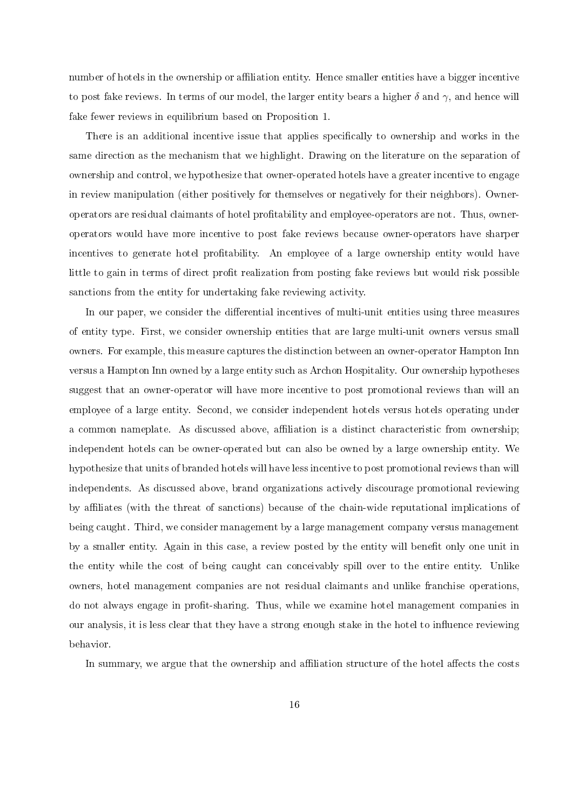number of hotels in the ownership or affiliation entity. Hence smaller entities have a bigger incentive to post fake reviews. In terms of our model, the larger entity bears a higher  $\delta$  and  $\gamma$ , and hence will fake fewer reviews in equilibrium based on Proposition 1.

There is an additional incentive issue that applies specifically to ownership and works in the same direction as the mechanism that we highlight. Drawing on the literature on the separation of ownership and control, we hypothesize that owner-operated hotels have a greater incentive to engage in review manipulation (either positively for themselves or negatively for their neighbors). Owneroperators are residual claimants of hotel protability and employee-operators are not. Thus, owneroperators would have more incentive to post fake reviews because owner-operators have sharper incentives to generate hotel profitability. An employee of a large ownership entity would have little to gain in terms of direct profit realization from posting fake reviews but would risk possible sanctions from the entity for undertaking fake reviewing activity.

In our paper, we consider the differential incentives of multi-unit entities using three measures of entity type. First, we consider ownership entities that are large multi-unit owners versus small owners. For example, this measure captures the distinction between an owner-operator Hampton Inn versus a Hampton Inn owned by a large entity such as Archon Hospitality. Our ownership hypotheses suggest that an owner-operator will have more incentive to post promotional reviews than will an employee of a large entity. Second, we consider independent hotels versus hotels operating under a common nameplate. As discussed above, affiliation is a distinct characteristic from ownership; independent hotels can be owner-operated but can also be owned by a large ownership entity. We hypothesize that units of branded hotels will have less incentive to post promotional reviews than will independents. As discussed above, brand organizations actively discourage promotional reviewing by aliates (with the threat of sanctions) because of the chain-wide reputational implications of being caught. Third, we consider management by a large management company versus management by a smaller entity. Again in this case, a review posted by the entity will benefit only one unit in the entity while the cost of being caught can conceivably spill over to the entire entity. Unlike owners, hotel management companies are not residual claimants and unlike franchise operations, do not always engage in profit-sharing. Thus, while we examine hotel management companies in our analysis, it is less clear that they have a strong enough stake in the hotel to influence reviewing behavior.

In summary, we argue that the ownership and affiliation structure of the hotel affects the costs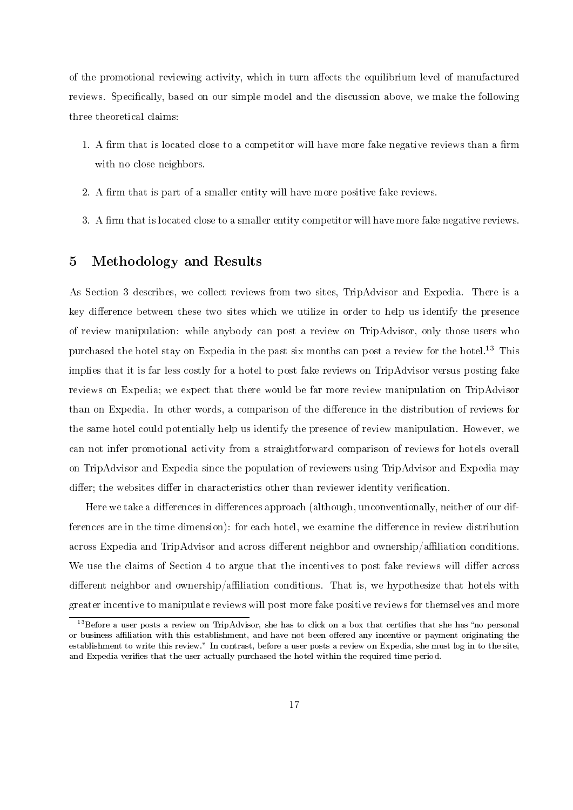of the promotional reviewing activity, which in turn affects the equilibrium level of manufactured reviews. Specifically, based on our simple model and the discussion above, we make the following three theoretical claims:

- 1. A firm that is located close to a competitor will have more fake negative reviews than a firm with no close neighbors.
- 2. A firm that is part of a smaller entity will have more positive fake reviews.
- 3. A firm that is located close to a smaller entity competitor will have more fake negative reviews.

## 5 Methodology and Results

As Section 3 describes, we collect reviews from two sites, TripAdvisor and Expedia. There is a key difference between these two sites which we utilize in order to help us identify the presence of review manipulation: while anybody can post a review on TripAdvisor, only those users who purchased the hotel stay on Expedia in the past six months can post a review for the hotel.<sup>13</sup> This implies that it is far less costly for a hotel to post fake reviews on TripAdvisor versus posting fake reviews on Expedia; we expect that there would be far more review manipulation on TripAdvisor than on Expedia. In other words, a comparison of the difference in the distribution of reviews for the same hotel could potentially help us identify the presence of review manipulation. However, we can not infer promotional activity from a straightforward comparison of reviews for hotels overall on TripAdvisor and Expedia since the population of reviewers using TripAdvisor and Expedia may differ; the websites differ in characteristics other than reviewer identity verification.

Here we take a differences in differences approach (although, unconventionally, neither of our differences are in the time dimension): for each hotel, we examine the difference in review distribution across Expedia and TripAdvisor and across different neighbor and ownership/affiliation conditions. We use the claims of Section 4 to argue that the incentives to post fake reviews will differ across different neighbor and ownership/affiliation conditions. That is, we hypothesize that hotels with greater incentive to manipulate reviews will post more fake positive reviews for themselves and more

 $13$ Before a user posts a review on TripAdvisor, she has to click on a box that certifies that she has "no personal or business affiliation with this establishment, and have not been offered any incentive or payment originating the establishment to write this review." In contrast, before a user posts a review on Expedia, she must log in to the site, and Expedia verifies that the user actually purchased the hotel within the required time period.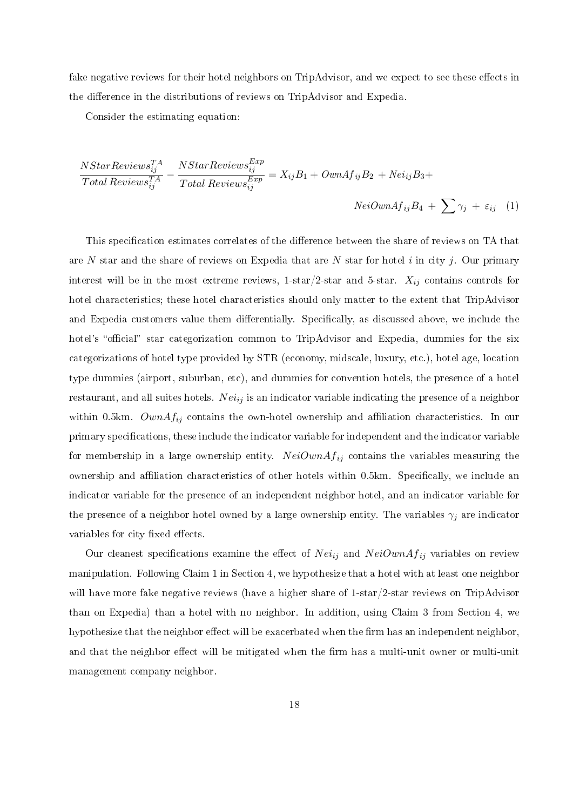fake negative reviews for their hotel neighbors on TripAdvisor, and we expect to see these effects in the difference in the distributions of reviews on TripAdvisor and Expedia.

Consider the estimating equation:

$$
\frac{NStarReviewS_{ij}^{TA}}{Total ReviewS_{ij}^{TA}} - \frac{NStarReviewS_{ij}^{Exp}}{Total ReviewS_{ij}^{Exp}} = X_{ij}B_1 + OwnAf_{ij}B_2 + Nei_{ij}B_3 +
$$
  
\n
$$
NeiOwnAf_{ij}B_4 + \sum \gamma_j + \varepsilon_{ij} \quad (1)
$$

This specification estimates correlates of the difference between the share of reviews on TA that are N star and the share of reviews on Expedia that are N star for hotel i in city j. Our primary interest will be in the most extreme reviews, 1-star/2-star and 5-star.  $X_{ij}$  contains controls for hotel characteristics; these hotel characteristics should only matter to the extent that TripAdvisor and Expedia customers value them differentially. Specifically, as discussed above, we include the hotel's "official" star categorization common to TripAdvisor and Expedia, dummies for the six categorizations of hotel type provided by STR (economy, midscale, luxury, etc.), hotel age, location type dummies (airport, suburban, etc), and dummies for convention hotels, the presence of a hotel restaurant, and all suites hotels. Nei<sub>ij</sub> is an indicator variable indicating the presence of a neighbor within 0.5km.  $OwnAf_{ij}$  contains the own-hotel ownership and affiliation characteristics. In our primary specifications, these include the indicator variable for independent and the indicator variable for membership in a large ownership entity.  $NeiOwnAf_{ij}$  contains the variables measuring the ownership and affiliation characteristics of other hotels within 0.5km. Specifically, we include an indicator variable for the presence of an independent neighbor hotel, and an indicator variable for the presence of a neighbor hotel owned by a large ownership entity. The variables  $\gamma_j$  are indicator variables for city fixed effects.

Our cleanest specifications examine the effect of  $Nei_{ij}$  and  $NeiOwnAf_{ij}$  variables on review manipulation. Following Claim 1 in Section 4, we hypothesize that a hotel with at least one neighbor will have more fake negative reviews (have a higher share of 1-star/2-star reviews on TripAdvisor than on Expedia) than a hotel with no neighbor. In addition, using Claim 3 from Section 4, we hypothesize that the neighbor effect will be exacerbated when the firm has an independent neighbor, and that the neighbor effect will be mitigated when the firm has a multi-unit owner or multi-unit management company neighbor.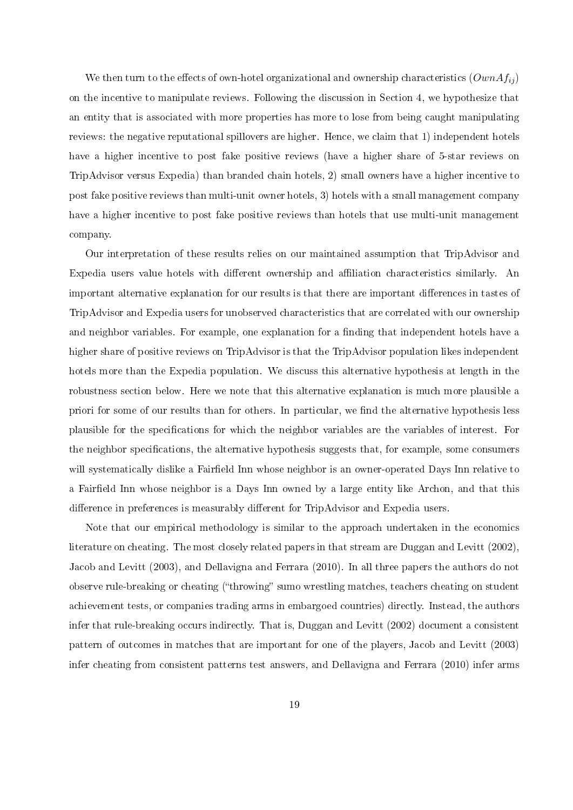We then turn to the effects of own-hotel organizational and ownership characteristics  $(OwnA f_{ij})$ on the incentive to manipulate reviews. Following the discussion in Section 4, we hypothesize that an entity that is associated with more properties has more to lose from being caught manipulating reviews: the negative reputational spillovers are higher. Hence, we claim that 1) independent hotels have a higher incentive to post fake positive reviews (have a higher share of 5-star reviews on TripAdvisor versus Expedia) than branded chain hotels, 2) small owners have a higher incentive to post fake positive reviews than multi-unit owner hotels, 3) hotels with a small management company have a higher incentive to post fake positive reviews than hotels that use multi-unit management company.

Our interpretation of these results relies on our maintained assumption that TripAdvisor and Expedia users value hotels with different ownership and affiliation characteristics similarly. An important alternative explanation for our results is that there are important differences in tastes of TripAdvisor and Expedia users for unobserved characteristics that are correlated with our ownership and neighbor variables. For example, one explanation for a finding that independent hotels have a higher share of positive reviews on TripAdvisor is that the TripAdvisor population likes independent hotels more than the Expedia population. We discuss this alternative hypothesis at length in the robustness section below. Here we note that this alternative explanation is much more plausible a priori for some of our results than for others. In particular, we find the alternative hypothesis less plausible for the specifications for which the neighbor variables are the variables of interest. For the neighbor specifications, the alternative hypothesis suggests that, for example, some consumers will systematically dislike a Fairfield Inn whose neighbor is an owner-operated Days Inn relative to a Fairfield Inn whose neighbor is a Days Inn owned by a large entity like Archon, and that this difference in preferences is measurably different for TripAdvisor and Expedia users.

Note that our empirical methodology is similar to the approach undertaken in the economics literature on cheating. The most closely related papers in that stream are Duggan and Levitt (2002), Jacob and Levitt (2003), and Dellavigna and Ferrara (2010). In all three papers the authors do not observe rule-breaking or cheating ("throwing" sumo wrestling matches, teachers cheating on student achievement tests, or companies trading arms in embargoed countries) directly. Instead, the authors infer that rule-breaking occurs indirectly. That is, Duggan and Levitt (2002) document a consistent pattern of outcomes in matches that are important for one of the players, Jacob and Levitt (2003) infer cheating from consistent patterns test answers, and Dellavigna and Ferrara (2010) infer arms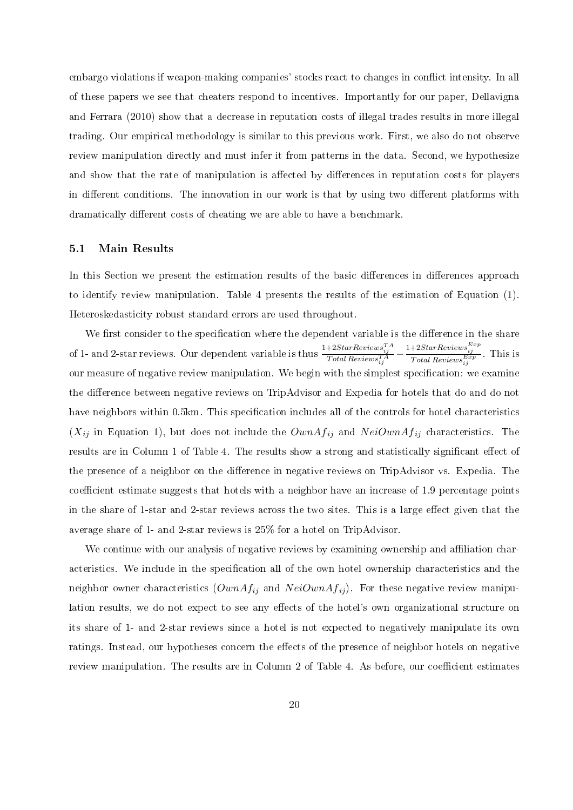embargo violations if weapon-making companies' stocks react to changes in conflict intensity. In all of these papers we see that cheaters respond to incentives. Importantly for our paper, Dellavigna and Ferrara (2010) show that a decrease in reputation costs of illegal trades results in more illegal trading. Our empirical methodology is similar to this previous work. First, we also do not observe review manipulation directly and must infer it from patterns in the data. Second, we hypothesize and show that the rate of manipulation is affected by differences in reputation costs for players in different conditions. The innovation in our work is that by using two different platforms with dramatically different costs of cheating we are able to have a benchmark.

### 5.1 Main Results

In this Section we present the estimation results of the basic differences in differences approach to identify review manipulation. Table 4 presents the results of the estimation of Equation (1). Heteroskedasticity robust standard errors are used throughout.

We first consider to the specification where the dependent variable is the difference in the share of 1- and 2-star reviews. Our dependent variable is thus  $\frac{1+2StarReviews^{TA}_{ij}}{Total Reviews^{TA}_{ij}} - \frac{1+2StarReviews^{Exp}_{ij}}{Total Reviews^{Exp}_{ij}}$ . This is our measure of negative review manipulation. We begin with the simplest specification: we examine the difference between negative reviews on TripAdvisor and Expedia for hotels that do and do not have neighbors within 0.5km. This specification includes all of the controls for hotel characteristics  $(X_{ij}$  in Equation 1), but does not include the  $OwnAf_{ij}$  and  $NeiOwnAf_{ij}$  characteristics. The results are in Column 1 of Table 4. The results show a strong and statistically significant effect of the presence of a neighbor on the difference in negative reviews on TripAdvisor vs. Expedia. The coefficient estimate suggests that hotels with a neighbor have an increase of 1.9 percentage points in the share of 1-star and 2-star reviews across the two sites. This is a large effect given that the average share of 1- and 2-star reviews is 25% for a hotel on TripAdvisor.

We continue with our analysis of negative reviews by examining ownership and affiliation characteristics. We include in the specification all of the own hotel ownership characteristics and the neighbor owner characteristics  $(OwnA f_{ij}$  and  $Nei OwnA f_{ij})$ . For these negative review manipulation results, we do not expect to see any effects of the hotel's own organizational structure on its share of 1- and 2-star reviews since a hotel is not expected to negatively manipulate its own ratings. Instead, our hypotheses concern the effects of the presence of neighbor hotels on negative review manipulation. The results are in Column 2 of Table 4. As before, our coefficient estimates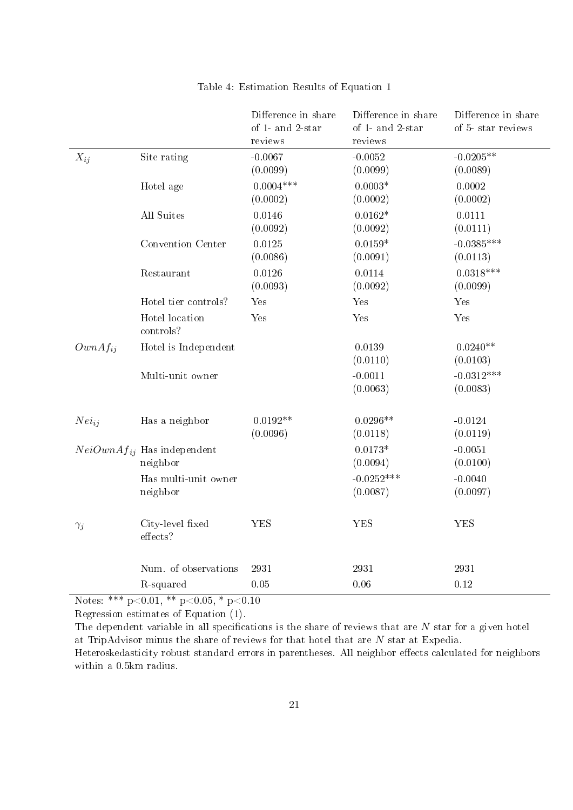|              |                                             | Difference in share<br>of 1- and 2-star<br>reviews | Difference in share<br>of 1- and 2-star<br>reviews | Difference in share<br>of 5-star reviews |
|--------------|---------------------------------------------|----------------------------------------------------|----------------------------------------------------|------------------------------------------|
| $X_{ij}$     | Site rating                                 | $-0.0067$<br>(0.0099)                              | $-0.0052$<br>(0.0099)                              | $-0.0205**$<br>(0.0089)                  |
|              | Hotel age                                   | $0.0004***$<br>(0.0002)                            | $0.0003*$<br>(0.0002)                              | 0.0002<br>(0.0002)                       |
|              | All Suites                                  | 0.0146<br>(0.0092)                                 | $0.0162*$<br>(0.0092)                              | 0.0111<br>(0.0111)                       |
|              | Convention Center                           | 0.0125<br>(0.0086)                                 | $0.0159*$<br>(0.0091)                              | $-0.0385***$<br>(0.0113)                 |
|              | Restaurant                                  | 0.0126<br>(0.0093)                                 | 0.0114<br>(0.0092)                                 | $0.0318***$<br>(0.0099)                  |
|              | Hotel tier controls?                        | Yes                                                | Yes                                                | Yes                                      |
|              | Hotel location<br>controls?                 | Yes                                                | Yes                                                | Yes                                      |
| $OwnAf_{ij}$ | Hotel is Independent                        |                                                    | 0.0139<br>(0.0110)                                 | $0.0240**$<br>(0.0103)                   |
|              | Multi-unit owner                            |                                                    | $-0.0011$<br>(0.0063)                              | $-0.0312***$<br>(0.0083)                 |
| $Nei_{ij}$   | Has a neighbor                              | $0.0192**$<br>(0.0096)                             | $0.0296**$<br>(0.0118)                             | $-0.0124$<br>(0.0119)                    |
|              | $NeiOwnAf_{ij}$ Has independent<br>neighbor |                                                    | $0.0173*$<br>(0.0094)                              | $-0.0051$<br>(0.0100)                    |
|              | Has multi-unit owner<br>neighbor            |                                                    | $-0.0252***$<br>(0.0087)                           | $-0.0040$<br>(0.0097)                    |
| $\gamma_j$   | City-level fixed<br>effects?                | <b>YES</b>                                         | <b>YES</b>                                         | <b>YES</b>                               |
|              | Num. of observations                        | 2931                                               | 2931                                               | 2931                                     |
|              | R-squared                                   | 0.05                                               | 0.06                                               | 0.12                                     |

## Table 4: Estimation Results of Equation 1

Notes: \*\*\*  $p<0.01$ , \*\*  $p<0.05$ , \*  $p<0.10$ 

Regression estimates of Equation (1).

The dependent variable in all specifications is the share of reviews that are  $N$  star for a given hotel at TripAdvisor minus the share of reviews for that hotel that are N star at Expedia. Heteroskedasticity robust standard errors in parentheses. All neighbor effects calculated for neighbors within a 0.5km radius.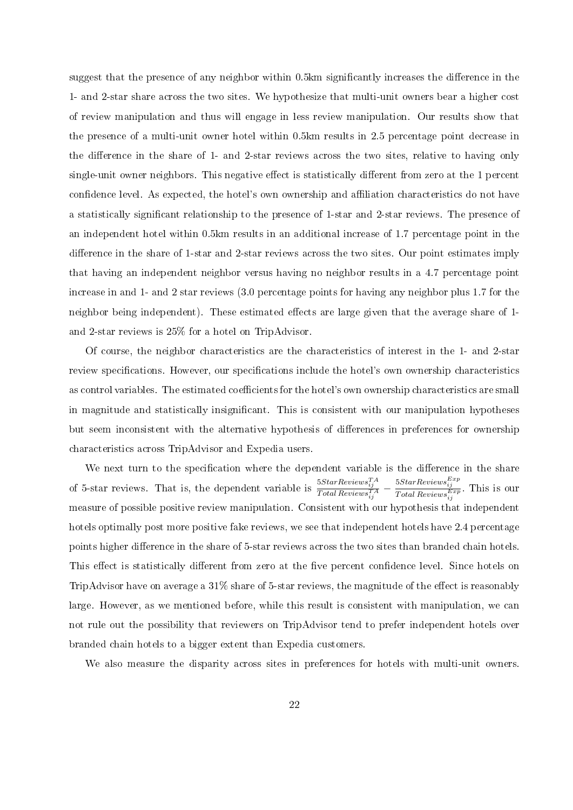suggest that the presence of any neighbor within 0.5km significantly increases the difference in the 1- and 2-star share across the two sites. We hypothesize that multi-unit owners bear a higher cost of review manipulation and thus will engage in less review manipulation. Our results show that the presence of a multi-unit owner hotel within 0.5km results in 2.5 percentage point decrease in the difference in the share of 1- and 2-star reviews across the two sites, relative to having only single-unit owner neighbors. This negative effect is statistically different from zero at the 1 percent confidence level. As expected, the hotel's own ownership and affiliation characteristics do not have a statistically significant relationship to the presence of 1-star and 2-star reviews. The presence of an independent hotel within 0.5km results in an additional increase of 1.7 percentage point in the difference in the share of 1-star and 2-star reviews across the two sites. Our point estimates imply that having an independent neighbor versus having no neighbor results in a 4.7 percentage point increase in and 1- and 2 star reviews (3.0 percentage points for having any neighbor plus 1.7 for the neighbor being independent). These estimated effects are large given that the average share of 1and 2-star reviews is 25% for a hotel on TripAdvisor.

Of course, the neighbor characteristics are the characteristics of interest in the 1- and 2-star review specifications. However, our specifications include the hotel's own ownership characteristics as control variables. The estimated coefficients for the hotel's own ownership characteristics are small in magnitude and statistically insignicant. This is consistent with our manipulation hypotheses but seem inconsistent with the alternative hypothesis of differences in preferences for ownership characteristics across TripAdvisor and Expedia users.

We next turn to the specification where the dependent variable is the difference in the share of 5-star reviews. That is, the dependent variable is  $\frac{5StarReviews^{TA}_{ij}}{TotalReviews^{TA}_{ij}} - \frac{5StarReviews^{Exp}_{ij}}{TotalReviews^{Exp}_{ij}}$ . This is our measure of possible positive review manipulation. Consistent with our hypothesis that independent hotels optimally post more positive fake reviews, we see that independent hotels have 2.4 percentage points higher difference in the share of 5-star reviews across the two sites than branded chain hotels. This effect is statistically different from zero at the five percent confidence level. Since hotels on TripAdvisor have on average a  $31\%$  share of 5-star reviews, the magnitude of the effect is reasonably large. However, as we mentioned before, while this result is consistent with manipulation, we can not rule out the possibility that reviewers on TripAdvisor tend to prefer independent hotels over branded chain hotels to a bigger extent than Expedia customers.

We also measure the disparity across sites in preferences for hotels with multi-unit owners.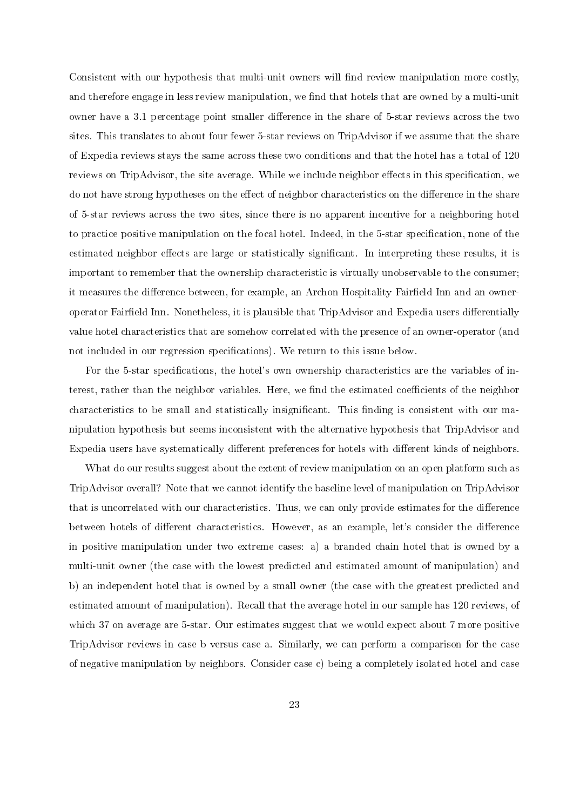Consistent with our hypothesis that multi-unit owners will find review manipulation more costly, and therefore engage in less review manipulation, we find that hotels that are owned by a multi-unit owner have a 3.1 percentage point smaller difference in the share of 5-star reviews across the two sites. This translates to about four fewer 5-star reviews on TripAdvisor if we assume that the share of Expedia reviews stays the same across these two conditions and that the hotel has a total of 120 reviews on TripAdvisor, the site average. While we include neighbor effects in this specification, we do not have strong hypotheses on the effect of neighbor characteristics on the difference in the share of 5-star reviews across the two sites, since there is no apparent incentive for a neighboring hotel to practice positive manipulation on the focal hotel. Indeed, in the 5-star specification, none of the estimated neighbor effects are large or statistically significant. In interpreting these results, it is important to remember that the ownership characteristic is virtually unobservable to the consumer; it measures the difference between, for example, an Archon Hospitality Fairfield Inn and an owneroperator Fairfield Inn. Nonetheless, it is plausible that TripAdvisor and Expedia users differentially value hotel characteristics that are somehow correlated with the presence of an owner-operator (and not included in our regression specifications). We return to this issue below.

For the 5-star specifications, the hotel's own ownership characteristics are the variables of interest, rather than the neighbor variables. Here, we find the estimated coefficients of the neighbor characteristics to be small and statistically insignificant. This finding is consistent with our manipulation hypothesis but seems inconsistent with the alternative hypothesis that TripAdvisor and Expedia users have systematically different preferences for hotels with different kinds of neighbors.

What do our results suggest about the extent of review manipulation on an open platform such as TripAdvisor overall? Note that we cannot identify the baseline level of manipulation on TripAdvisor that is uncorrelated with our characteristics. Thus, we can only provide estimates for the difference between hotels of different characteristics. However, as an example, let's consider the difference in positive manipulation under two extreme cases: a) a branded chain hotel that is owned by a multi-unit owner (the case with the lowest predicted and estimated amount of manipulation) and b) an independent hotel that is owned by a small owner (the case with the greatest predicted and estimated amount of manipulation). Recall that the average hotel in our sample has 120 reviews, of which 37 on average are 5-star. Our estimates suggest that we would expect about 7 more positive TripAdvisor reviews in case b versus case a. Similarly, we can perform a comparison for the case of negative manipulation by neighbors. Consider case c) being a completely isolated hotel and case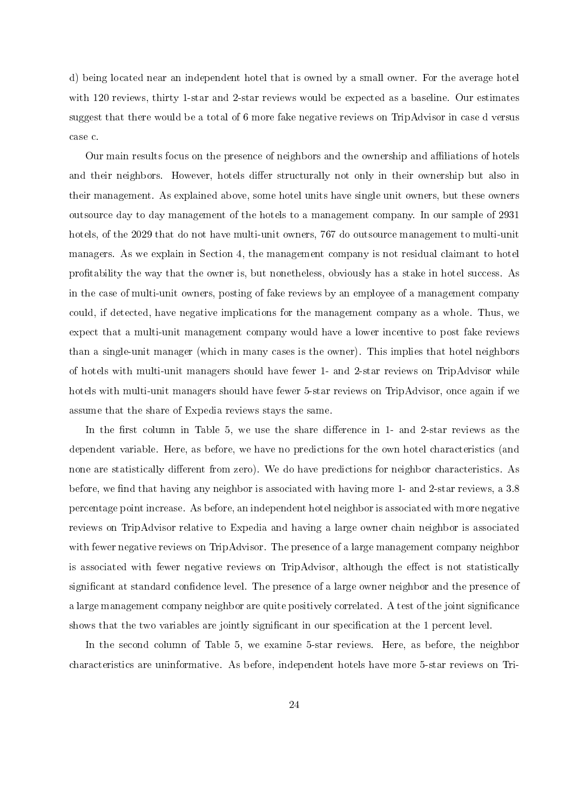d) being located near an independent hotel that is owned by a small owner. For the average hotel with 120 reviews, thirty 1-star and 2-star reviews would be expected as a baseline. Our estimates suggest that there would be a total of 6 more fake negative reviews on TripAdvisor in case d versus case c.

Our main results focus on the presence of neighbors and the ownership and aliations of hotels and their neighbors. However, hotels differ structurally not only in their ownership but also in their management. As explained above, some hotel units have single unit owners, but these owners outsource day to day management of the hotels to a management company. In our sample of 2931 hotels, of the 2029 that do not have multi-unit owners, 767 do outsource management to multi-unit managers. As we explain in Section 4, the management company is not residual claimant to hotel profitability the way that the owner is, but nonetheless, obviously has a stake in hotel success. As in the case of multi-unit owners, posting of fake reviews by an employee of a management company could, if detected, have negative implications for the management company as a whole. Thus, we expect that a multi-unit management company would have a lower incentive to post fake reviews than a single-unit manager (which in many cases is the owner). This implies that hotel neighbors of hotels with multi-unit managers should have fewer 1- and 2-star reviews on TripAdvisor while hotels with multi-unit managers should have fewer 5-star reviews on TripAdvisor, once again if we assume that the share of Expedia reviews stays the same.

In the first column in Table 5, we use the share difference in 1- and 2-star reviews as the dependent variable. Here, as before, we have no predictions for the own hotel characteristics (and none are statistically different from zero). We do have predictions for neighbor characteristics. As before, we find that having any neighbor is associated with having more 1- and 2-star reviews, a 3.8 percentage point increase. As before, an independent hotel neighbor is associated with more negative reviews on TripAdvisor relative to Expedia and having a large owner chain neighbor is associated with fewer negative reviews on TripAdvisor. The presence of a large management company neighbor is associated with fewer negative reviews on TripAdvisor, although the effect is not statistically significant at standard confidence level. The presence of a large owner neighbor and the presence of a large management company neighbor are quite positively correlated. A test of the joint signicance shows that the two variables are jointly significant in our specification at the 1 percent level.

In the second column of Table 5, we examine 5-star reviews. Here, as before, the neighbor characteristics are uninformative. As before, independent hotels have more 5-star reviews on Tri-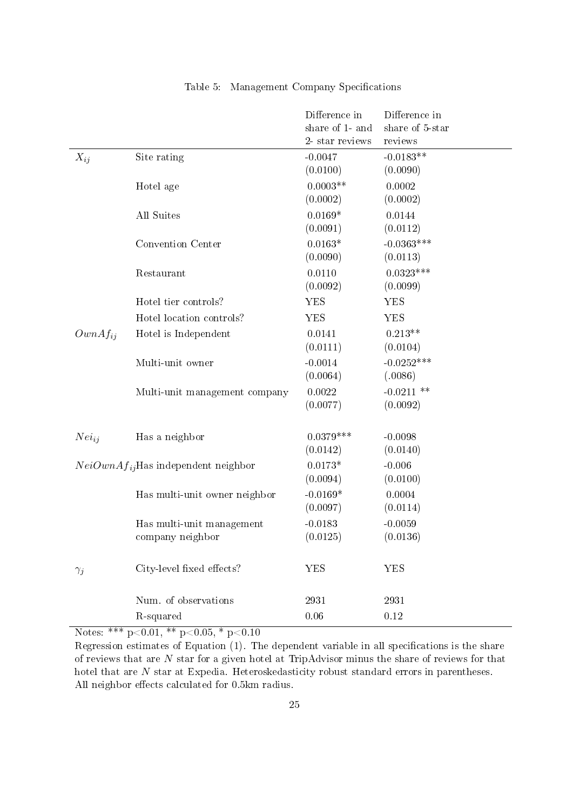|              |                                               | Difference in<br>share of 1- and<br>2- star reviews | Difference in<br>share of 5-star<br>reviews |
|--------------|-----------------------------------------------|-----------------------------------------------------|---------------------------------------------|
| $X_{ij}$     | Site rating                                   | $-0.0047$<br>(0.0100)                               | $-0.0183**$<br>(0.0090)                     |
|              | Hotel age                                     | $0.0003**$<br>(0.0002)                              | 0.0002<br>(0.0002)                          |
|              | All Suites                                    | $0.0169*$<br>(0.0091)                               | 0.0144<br>(0.0112)                          |
|              | Convention Center                             | $0.0163*$<br>(0.0090)                               | $-0.0363***$<br>(0.0113)                    |
|              | Restaurant                                    | 0.0110<br>(0.0092)                                  | $0.0323***$<br>(0.0099)                     |
|              | Hotel tier controls?                          | <b>YES</b>                                          | <b>YES</b>                                  |
|              | Hotel location controls?                      | <b>YES</b>                                          | <b>YES</b>                                  |
| $OwnAf_{ii}$ | Hotel is Independent                          | 0.0141<br>(0.0111)                                  | $0.213**$<br>(0.0104)                       |
|              | Multi-unit owner                              | $-0.0014$<br>(0.0064)                               | $-0.0252***$<br>(.0086)                     |
|              | Multi-unit management company                 | 0.0022<br>(0.0077)                                  | $-0.0211$ **<br>(0.0092)                    |
| $Nei_{ij}$   | Has a neighbor                                | $0.0379***$<br>(0.0142)                             | $-0.0098$<br>(0.0140)                       |
|              | $NeiOwnAf_{ij}$ Has independent neighbor      | $0.0173*$<br>(0.0094)                               | $-0.006$<br>(0.0100)                        |
|              | Has multi-unit owner neighbor                 | $-0.0169*$<br>(0.0097)                              | 0.0004<br>(0.0114)                          |
|              | Has multi-unit management<br>company neighbor | $-0.0183$<br>(0.0125)                               | $-0.0059$<br>(0.0136)                       |
| $\gamma_j$   | City-level fixed effects?                     | <b>YES</b>                                          | <b>YES</b>                                  |
|              | Num. of observations                          | 2931                                                | 2931                                        |
|              | R-squared                                     | 0.06                                                | 0.12                                        |

### Table 5: Management Company Specifications

Notes: \*\*\*  $p<0.01$ , \*\*  $p<0.05$ , \*  $p<0.10$ 

Regression estimates of Equation  $(1)$ . The dependent variable in all specifications is the share of reviews that are N star for a given hotel at TripAdvisor minus the share of reviews for that hotel that are N star at Expedia. Heteroskedasticity robust standard errors in parentheses. All neighbor effects calculated for 0.5km radius.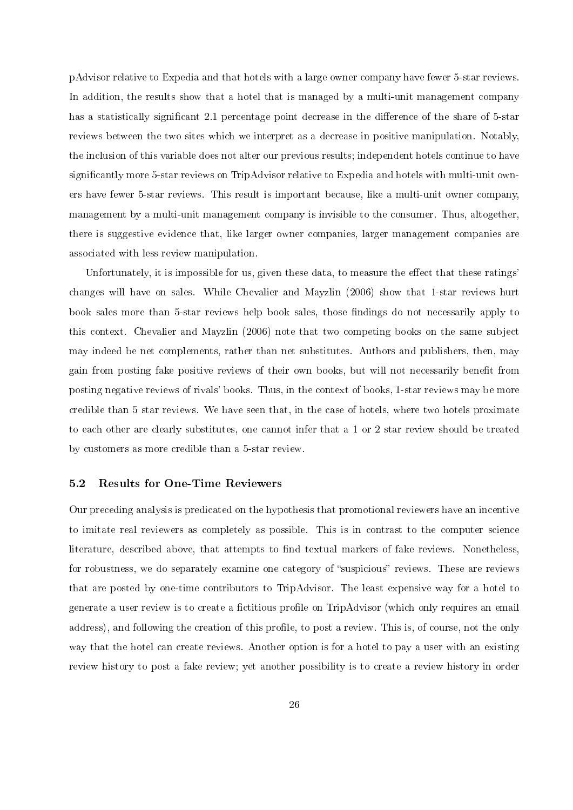pAdvisor relative to Expedia and that hotels with a large owner company have fewer 5-star reviews. In addition, the results show that a hotel that is managed by a multi-unit management company has a statistically significant 2.1 percentage point decrease in the difference of the share of 5-star reviews between the two sites which we interpret as a decrease in positive manipulation. Notably, the inclusion of this variable does not alter our previous results; independent hotels continue to have significantly more 5-star reviews on TripAdvisor relative to Expedia and hotels with multi-unit owners have fewer 5-star reviews. This result is important because, like a multi-unit owner company, management by a multi-unit management company is invisible to the consumer. Thus, altogether, there is suggestive evidence that, like larger owner companies, larger management companies are associated with less review manipulation.

Unfortunately, it is impossible for us, given these data, to measure the effect that these ratings' changes will have on sales. While Chevalier and Mayzlin (2006) show that 1-star reviews hurt book sales more than 5-star reviews help book sales, those findings do not necessarily apply to this context. Chevalier and Mayzlin (2006) note that two competing books on the same subject may indeed be net complements, rather than net substitutes. Authors and publishers, then, may gain from posting fake positive reviews of their own books, but will not necessarily benefit from posting negative reviews of rivals' books. Thus, in the context of books, 1-star reviews may be more credible than 5 star reviews. We have seen that, in the case of hotels, where two hotels proximate to each other are clearly substitutes, one cannot infer that a 1 or 2 star review should be treated by customers as more credible than a 5-star review.

#### 5.2 Results for One-Time Reviewers

Our preceding analysis is predicated on the hypothesis that promotional reviewers have an incentive to imitate real reviewers as completely as possible. This is in contrast to the computer science literature, described above, that attempts to find textual markers of fake reviews. Nonetheless, for robustness, we do separately examine one category of "suspicious" reviews. These are reviews that are posted by one-time contributors to TripAdvisor. The least expensive way for a hotel to generate a user review is to create a fictitious profile on TripAdvisor (which only requires an email address), and following the creation of this profile, to post a review. This is, of course, not the only way that the hotel can create reviews. Another option is for a hotel to pay a user with an existing review history to post a fake review; yet another possibility is to create a review history in order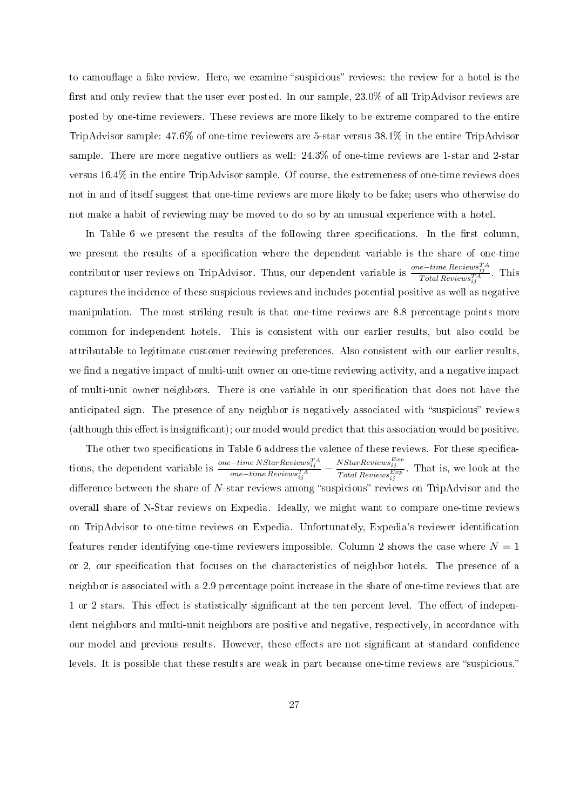to camouflage a fake review. Here, we examine "suspicious" reviews: the review for a hotel is the first and only review that the user ever posted. In our sample, 23.0% of all TripAdvisor reviews are posted by one-time reviewers. These reviews are more likely to be extreme compared to the entire TripAdvisor sample: 47.6% of one-time reviewers are 5-star versus 38.1% in the entire TripAdvisor sample. There are more negative outliers as well: 24.3% of one-time reviews are 1-star and 2-star versus 16.4% in the entire TripAdvisor sample. Of course, the extremeness of one-time reviews does not in and of itself suggest that one-time reviews are more likely to be fake; users who otherwise do not make a habit of reviewing may be moved to do so by an unusual experience with a hotel.

In Table 6 we present the results of the following three specifications. In the first column, we present the results of a specification where the dependent variable is the share of one-time contributor user reviews on TripAdvisor. Thus, our dependent variable is  $\frac{one-time\ Reviews^{TA}_{ij}}{Total\ Reviews^{TA}_{ij}}$ . This captures the incidence of these suspicious reviews and includes potential positive as well as negative manipulation. The most striking result is that one-time reviews are 8.8 percentage points more common for independent hotels. This is consistent with our earlier results, but also could be attributable to legitimate customer reviewing preferences. Also consistent with our earlier results, we find a negative impact of multi-unit owner on one-time reviewing activity, and a negative impact of multi-unit owner neighbors. There is one variable in our specication that does not have the anticipated sign. The presence of any neighbor is negatively associated with "suspicious" reviews (although this effect is insignificant); our model would predict that this association would be positive.

The other two specifications in Table 6 address the valence of these reviews. For these specifications, the dependent variable is  $\frac{one-time NStarReviewS^{TA}_{ij}}{one-time ReviewS^{TA}_{ij}} - \frac{NStarReviewS^{Exp}_{ij}}{Total ReviewS^{Exp}_{ij}}$ . That is, we look at the difference between the share of  $N$ -star reviews among "suspicious" reviews on TripAdvisor and the overall share of N-Star reviews on Expedia. Ideally, we might want to compare one-time reviews on TripAdvisor to one-time reviews on Expedia. Unfortunately, Expedia's reviewer identification features render identifying one-time reviewers impossible. Column 2 shows the case where  $N = 1$ or 2, our specification that focuses on the characteristics of neighbor hotels. The presence of a neighbor is associated with a 2.9 percentage point increase in the share of one-time reviews that are 1 or 2 stars. This effect is statistically significant at the ten percent level. The effect of independent neighbors and multi-unit neighbors are positive and negative, respectively, in accordance with our model and previous results. However, these effects are not significant at standard confidence levels. It is possible that these results are weak in part because one-time reviews are "suspicious."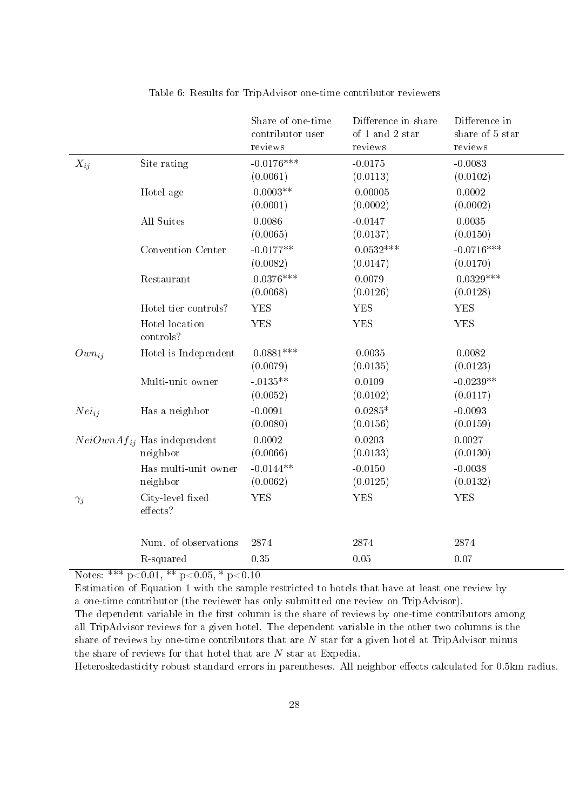|            |                                             | Share of one-time<br>contributor user<br>reviews | Difference in share<br>of 1 and 2 star<br>reviews | Difference in<br>share of 5 star<br>reviews |
|------------|---------------------------------------------|--------------------------------------------------|---------------------------------------------------|---------------------------------------------|
| $X_{ij}$   | Site rating                                 | $-0.0176***$<br>(0.0061)                         | $-0.0175$<br>(0.0113)                             | $-0.0083$<br>(0.0102)                       |
|            | Hotel age                                   | $0.0003**$<br>(0.0001)                           | 0.00005<br>(0.0002)                               | 0.0002<br>(0.0002)                          |
|            | All Suites                                  | 0.0086<br>(0.0065)                               | $-0.0147$<br>(0.0137)                             | 0.0035<br>(0.0150)                          |
|            | Convention Center                           | $-0.0177**$<br>(0.0082)                          | $0.0532***$<br>(0.0147)                           | $-0.0716***$<br>(0.0170)                    |
|            | Restaurant                                  | $0.0376***$<br>(0.0068)                          | 0.0079<br>(0.0126)                                | $0.0329***$<br>(0.0128)                     |
|            | Hotel tier controls?                        | <b>YES</b>                                       | <b>YES</b>                                        | <b>YES</b>                                  |
|            | Hotel location<br>controls?                 | <b>YES</b>                                       | <b>YES</b>                                        | <b>YES</b>                                  |
| $Own_{ij}$ | Hotel is Independent                        | $0.0881***$<br>(0.0079)                          | $-0.0035$<br>(0.0135)                             | 0.0082<br>(0.0123)                          |
|            | Multi-unit owner                            | $-0135**$<br>(0.0052)                            | 0.0109<br>(0.0102)                                | $-0.0239**$<br>(0.0117)                     |
| $Nei_{ij}$ | Has a neighbor                              | $-0.0091$<br>(0.0080)                            | $0.0285*$<br>(0.0156)                             | $-0.0093$<br>(0.0159)                       |
|            | $NeiOwnAf_{ij}$ Has independent<br>neighbor | 0.0002<br>(0.0066)                               | 0.0203<br>(0.0133)                                | 0.0027<br>(0.0130)                          |
|            | Has multi-unit owner<br>neighbor            | $-0.0144**$<br>(0.0062)                          | $-0.0150$<br>(0.0125)                             | $-0.0038$<br>(0.0132)                       |
| $\gamma_j$ | City-level fixed<br>effects?                | <b>YES</b>                                       | <b>YES</b>                                        | <b>YES</b>                                  |
|            | Num. of observations                        | 2874                                             | 2874                                              | 2874                                        |
|            | R-squared                                   | 0.35                                             | 0.05                                              | 0.07                                        |

Table 6: Results for TripAdvisor one-time contributor reviewers

Notes: \*\*\*  $p<0.01$ , \*\*  $p<0.05$ , \*  $p<0.10$ 

Estimation of Equation 1 with the sample restricted to hotels that have at least one review by a one-time contributor (the reviewer has only submitted one review on TripAdvisor).

The dependent variable in the first column is the share of reviews by one-time contributors among all TripAdvisor reviews for a given hotel. The dependent variable in the other two columns is the share of reviews by one-time contributors that are  $N$  star for a given hotel at TripAdvisor minus the share of reviews for that hotel that are N star at Expedia.

Heteroskedasticity robust standard errors in parentheses. All neighbor effects calculated for 0.5km radius.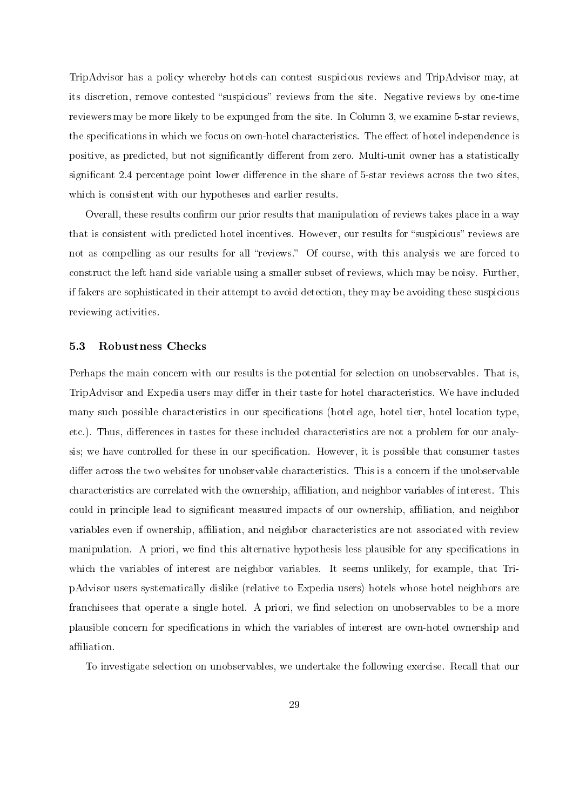TripAdvisor has a policy whereby hotels can contest suspicious reviews and TripAdvisor may, at its discretion, remove contested "suspicious" reviews from the site. Negative reviews by one-time reviewers may be more likely to be expunged from the site. In Column 3, we examine 5-star reviews, the specifications in which we focus on own-hotel characteristics. The effect of hotel independence is positive, as predicted, but not significantly different from zero. Multi-unit owner has a statistically significant 2.4 percentage point lower difference in the share of 5-star reviews across the two sites, which is consistent with our hypotheses and earlier results.

Overall, these results confirm our prior results that manipulation of reviews takes place in a way that is consistent with predicted hotel incentives. However, our results for "suspicious" reviews are not as compelling as our results for all "reviews." Of course, with this analysis we are forced to construct the left hand side variable using a smaller subset of reviews, which may be noisy. Further, if fakers are sophisticated in their attempt to avoid detection, they may be avoiding these suspicious reviewing activities.

#### 5.3 Robustness Checks

Perhaps the main concern with our results is the potential for selection on unobservables. That is, TripAdvisor and Expedia users may differ in their taste for hotel characteristics. We have included many such possible characteristics in our specifications (hotel age, hotel tier, hotel location type, etc.). Thus, differences in tastes for these included characteristics are not a problem for our analysis; we have controlled for these in our specification. However, it is possible that consumer tastes differ across the two websites for unobservable characteristics. This is a concern if the unobservable characteristics are correlated with the ownership, affiliation, and neighbor variables of interest. This could in principle lead to significant measured impacts of our ownership, affiliation, and neighbor variables even if ownership, affiliation, and neighbor characteristics are not associated with review manipulation. A priori, we find this alternative hypothesis less plausible for any specifications in which the variables of interest are neighbor variables. It seems unlikely, for example, that TripAdvisor users systematically dislike (relative to Expedia users) hotels whose hotel neighbors are franchisees that operate a single hotel. A priori, we find selection on unobservables to be a more plausible concern for specifications in which the variables of interest are own-hotel ownership and affiliation.

To investigate selection on unobservables, we undertake the following exercise. Recall that our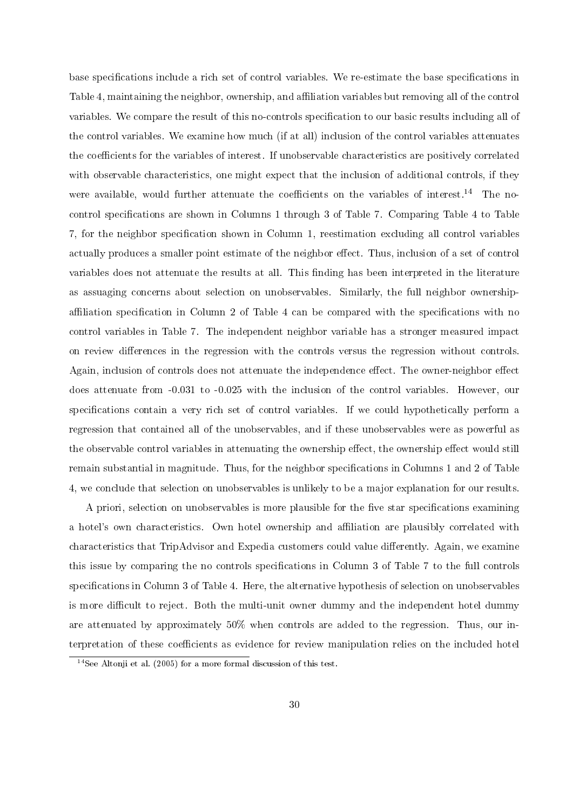base specifications include a rich set of control variables. We re-estimate the base specifications in Table 4, maintaining the neighbor, ownership, and affiliation variables but removing all of the control variables. We compare the result of this no-controls specification to our basic results including all of the control variables. We examine how much (if at all) inclusion of the control variables attenuates the coefficients for the variables of interest. If unobservable characteristics are positively correlated with observable characteristics, one might expect that the inclusion of additional controls, if they were available, would further attenuate the coefficients on the variables of interest.<sup>14</sup> The nocontrol specifications are shown in Columns 1 through 3 of Table 7. Comparing Table 4 to Table 7, for the neighbor specification shown in Column 1, reestimation excluding all control variables actually produces a smaller point estimate of the neighbor effect. Thus, inclusion of a set of control variables does not attenuate the results at all. This finding has been interpreted in the literature as assuaging concerns about selection on unobservables. Similarly, the full neighbor ownershipaffiliation specification in Column 2 of Table 4 can be compared with the specifications with no control variables in Table 7. The independent neighbor variable has a stronger measured impact on review differences in the regression with the controls versus the regression without controls. Again, inclusion of controls does not attenuate the independence effect. The owner-neighbor effect does attenuate from -0.031 to -0.025 with the inclusion of the control variables. However, our specifications contain a very rich set of control variables. If we could hypothetically perform a regression that contained all of the unobservables, and if these unobservables were as powerful as the observable control variables in attenuating the ownership effect, the ownership effect would still remain substantial in magnitude. Thus, for the neighbor specifications in Columns 1 and 2 of Table 4, we conclude that selection on unobservables is unlikely to be a major explanation for our results.

A priori, selection on unobservables is more plausible for the five star specifications examining a hotel's own characteristics. Own hotel ownership and affiliation are plausibly correlated with characteristics that TripAdvisor and Expedia customers could value differently. Again, we examine this issue by comparing the no controls specifications in Column 3 of Table 7 to the full controls specifications in Column 3 of Table 4. Here, the alternative hypothesis of selection on unobservables is more difficult to reject. Both the multi-unit owner dummy and the independent hotel dummy are attenuated by approximately 50% when controls are added to the regression. Thus, our interpretation of these coefficients as evidence for review manipulation relies on the included hotel

 $14$ See Altonji et al. (2005) for a more formal discussion of this test.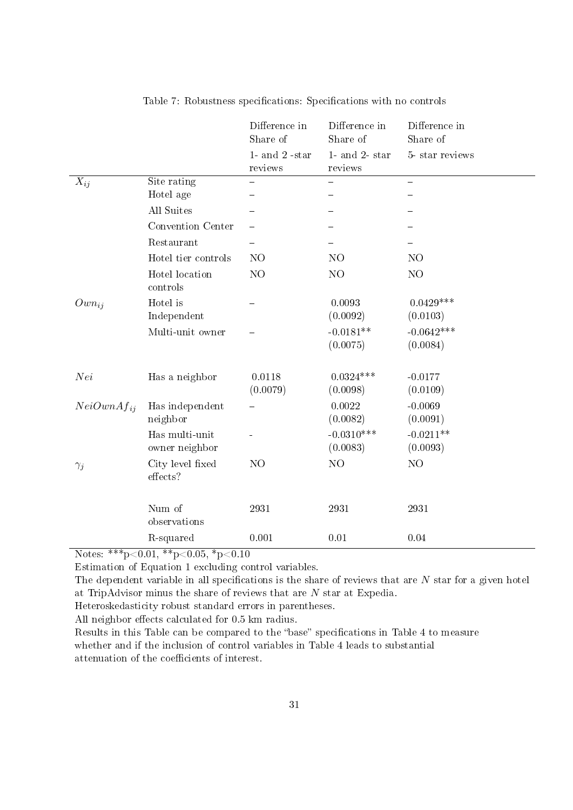|                  |                              | Difference in<br>Share of   | Difference in<br>Share of   | Difference in<br>Share of |
|------------------|------------------------------|-----------------------------|-----------------------------|---------------------------|
|                  |                              | 1- and $2$ -star<br>reviews | $1$ and $2$ star<br>reviews | 5-star reviews            |
| $X_{ij}$         | Site rating                  |                             |                             |                           |
|                  | Hotel age                    |                             |                             |                           |
|                  | All Suites                   |                             |                             |                           |
|                  | Convention Center            |                             |                             |                           |
|                  | Restaurant                   |                             |                             |                           |
|                  | Hotel tier controls          | N <sub>O</sub>              | N <sub>O</sub>              | N <sub>O</sub>            |
|                  | Hotel location<br>controls   | NO                          | NO                          | N <sub>O</sub>            |
| $Own_{ij}$       | Hotel is                     |                             | 0.0093                      | $0.0429***$               |
|                  | Independent                  |                             | (0.0092)                    | (0.0103)                  |
|                  | Multi-unit owner             |                             | $-0.0181**$                 | $-0.0642***$              |
|                  |                              |                             | (0.0075)                    | (0.0084)                  |
| Nei              | Has a neighbor               | 0.0118                      | $0.0324***$                 | $-0.0177$                 |
|                  |                              | (0.0079)                    | (0.0098)                    | (0.0109)                  |
| $NeiOwnA f_{ii}$ | Has independent              |                             | 0.0022                      | $-0.0069$                 |
|                  | neighbor                     |                             | (0.0082)                    | (0.0091)                  |
|                  | Has multi-unit               |                             | $-0.0310***$                | $-0.0211**$               |
|                  | owner neighbor               |                             | (0.0083)                    | (0.0093)                  |
| $\gamma_j$       | City level fixed<br>effects? | NO                          | NO                          | N <sub>O</sub>            |
|                  | Num of                       | 2931                        | 2931                        | 2931                      |
|                  | observations                 |                             |                             |                           |
|                  | R-squared                    | 0.001                       | 0.01                        | 0.04                      |

Table 7: Robustness specifications: Specifications with no controls

Notes: \*\*\* $p<0.01,$ \*\* $p<0.05,$ \* $p<0.10$ 

Estimation of Equation 1 excluding control variables.

The dependent variable in all specifications is the share of reviews that are  $N$  star for a given hotel at TripAdvisor minus the share of reviews that are  $N$  star at Expedia.

Heteroskedasticity robust standard errors in parentheses.

All neighbor effects calculated for 0.5 km radius.

Results in this Table can be compared to the "base" specifications in Table 4 to measure whether and if the inclusion of control variables in Table 4 leads to substantial attenuation of the coefficients of interest.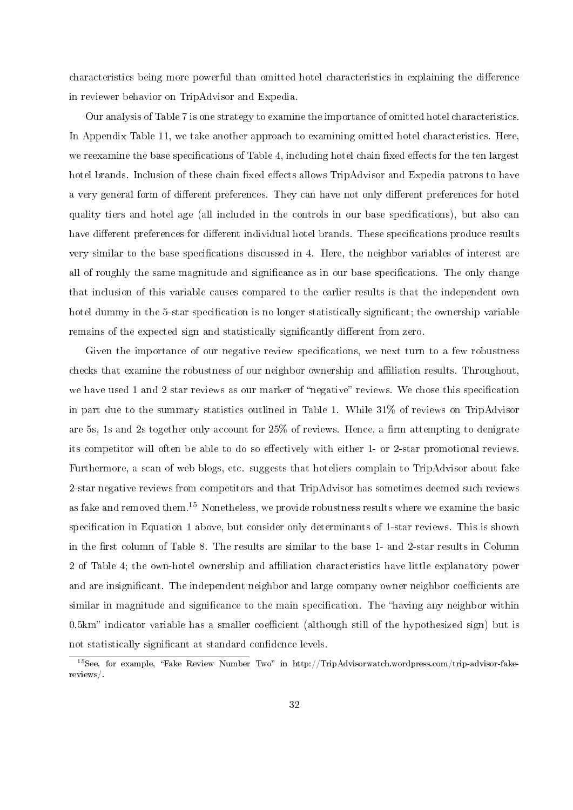characteristics being more powerful than omitted hotel characteristics in explaining the difference in reviewer behavior on TripAdvisor and Expedia.

Our analysis of Table 7 is one strategy to examine the importance of omitted hotel characteristics. In Appendix Table 11, we take another approach to examining omitted hotel characteristics. Here, we reexamine the base specifications of Table 4, including hotel chain fixed effects for the ten largest hotel brands. Inclusion of these chain fixed effects allows TripAdvisor and Expedia patrons to have a very general form of different preferences. They can have not only different preferences for hotel quality tiers and hotel age (all included in the controls in our base specications), but also can have different preferences for different individual hotel brands. These specifications produce results very similar to the base specifications discussed in 4. Here, the neighbor variables of interest are all of roughly the same magnitude and significance as in our base specifications. The only change that inclusion of this variable causes compared to the earlier results is that the independent own hotel dummy in the 5-star specification is no longer statistically significant; the ownership variable remains of the expected sign and statistically significantly different from zero.

Given the importance of our negative review specifications, we next turn to a few robustness checks that examine the robustness of our neighbor ownership and affiliation results. Throughout, we have used 1 and 2 star reviews as our marker of "negative" reviews. We chose this specification in part due to the summary statistics outlined in Table 1. While 31% of reviews on TripAdvisor are 5s, 1s and 2s together only account for  $25\%$  of reviews. Hence, a firm attempting to denigrate its competitor will often be able to do so effectively with either 1- or 2-star promotional reviews. Furthermore, a scan of web blogs, etc. suggests that hoteliers complain to TripAdvisor about fake 2-star negative reviews from competitors and that TripAdvisor has sometimes deemed such reviews as fake and removed them.<sup>15</sup> Nonetheless, we provide robustness results where we examine the basic specification in Equation 1 above, but consider only determinants of 1-star reviews. This is shown in the first column of Table 8. The results are similar to the base 1- and 2-star results in Column 2 of Table 4; the own-hotel ownership and affiliation characteristics have little explanatory power and are insignificant. The independent neighbor and large company owner neighbor coefficients are similar in magnitude and significance to the main specification. The "having any neighbor within  $0.5km$ " indicator variable has a smaller coefficient (although still of the hypothesized sign) but is not statistically significant at standard confidence levels.

 $15$ See, for example, "Fake Review Number Two" in http://TripAdvisorwatch.wordpress.com/trip-advisor-fakereviews/.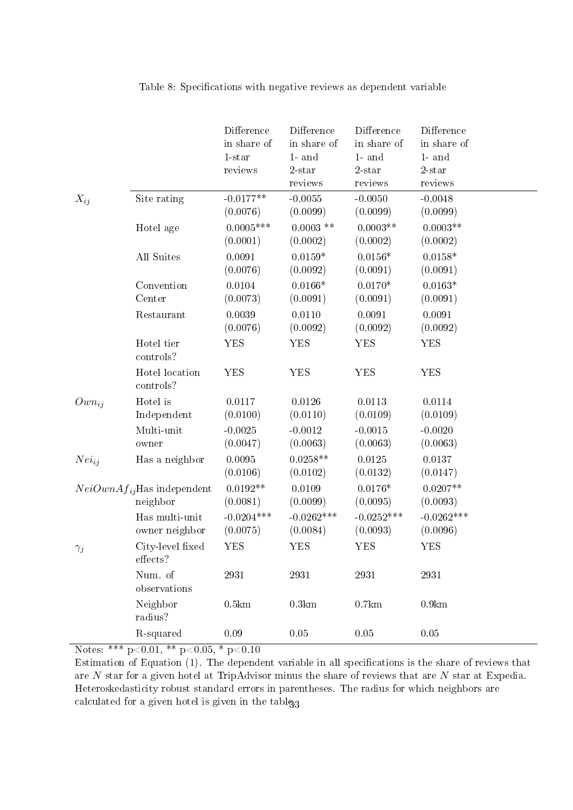|            |                                             | Difference<br>in share of<br>$1$ -star<br>reviews | Difference<br>in share of<br>$1$ - and<br>$2$ -star<br>reviews | Difference<br>in share of<br>$1$ and<br>$2$ -star<br>reviews | Difference<br>in share of<br>$1$ - and<br>$2$ -star<br>reviews |
|------------|---------------------------------------------|---------------------------------------------------|----------------------------------------------------------------|--------------------------------------------------------------|----------------------------------------------------------------|
| $X_{ij}$   | Site rating                                 | $-0.0177**$<br>(0.0076)                           | $-0.0055$<br>(0.0099)                                          | $-0.0050$<br>(0.0099)                                        | $-0.0048$<br>(0.0099)                                          |
|            | Hotel age                                   | $0.0005***$<br>(0.0001)                           | $0.0003$ **<br>(0.0002)                                        | $0.0003**$<br>(0.0002)                                       | $0.0003**$<br>(0.0002)                                         |
|            | All Suites                                  | 0.0091<br>(0.0076)                                | $0.0159*$<br>(0.0092)                                          | $0.0156*$<br>(0.0091)                                        | $0.0158*$<br>(0.0091)                                          |
|            | Convention<br>Center                        | 0.0104<br>(0.0073)                                | $0.0166*$<br>(0.0091)                                          | $0.0170*$<br>(0.0091)                                        | $0.0163*$<br>(0.0091)                                          |
|            | Restaurant                                  | 0.0039<br>(0.0076)                                | 0.0110<br>(0.0092)                                             | 0.0091<br>(0.0092)                                           | 0.0091<br>(0.0092)                                             |
|            | Hotel tier<br>controls?                     | <b>YES</b>                                        | <b>YES</b>                                                     | <b>YES</b>                                                   | <b>YES</b>                                                     |
|            | Hotel location<br>controls?                 | <b>YES</b>                                        | <b>YES</b>                                                     | <b>YES</b>                                                   | <b>YES</b>                                                     |
| $Own_{ij}$ | Hotel is<br>Independent                     | 0.0117<br>(0.0100)                                | 0.0126<br>(0.0110)                                             | 0.0113<br>(0.0109)                                           | 0.0114<br>(0.0109)                                             |
|            | Multi-unit<br>owner                         | $-0.0025$<br>(0.0047)                             | $-0.0012$<br>(0.0063)                                          | $-0.0015$<br>(0.0063)                                        | $-0.0020$<br>(0.0063)                                          |
| $Nei_{ij}$ | Has a neighbor                              | 0.0095<br>(0.0106)                                | $0.0258**$<br>(0.0102)                                         | 0.0125<br>(0.0132)                                           | 0.0137<br>(0.0147)                                             |
|            | $NeiOwnAf_{ij}$ Has independent<br>neighbor | $0.0192**$<br>(0.0081)                            | 0.0109<br>(0.0099)                                             | $0.0176*$<br>(0.0095)                                        | $0.0207**$<br>(0.0093)                                         |
|            | Has multi-unit<br>owner neighbor            | $-0.0204***$<br>(0.0075)                          | $-0.0262***$<br>(0.0084)                                       | $-0.0252***$<br>(0.0093)                                     | $-0.0262***$<br>(0.0096)                                       |
| $\gamma_j$ | City-level fixed<br>effects?                | <b>YES</b>                                        | <b>YES</b>                                                     | <b>YES</b>                                                   | <b>YES</b>                                                     |
|            | Num. of<br>observations                     | 2931                                              | 2931                                                           | 2931                                                         | 2931                                                           |
|            | Neighbor<br>radius?                         | $0.5 \mathrm{km}$                                 | 0.3km                                                          | $0.7 \mathrm{km}$                                            | $0.9 \mathrm{km}$                                              |
|            | R-squared                                   | $0.09\,$                                          | $0.05\,$                                                       | $0.05\,$                                                     | $0.05\,$                                                       |

Table 8: Specifications with negative reviews as dependent variable

Notes: \*\*\*  $p<0.01$ , \*\*  $p<0.05$ , \*  $p<0.10$ 

Estimation of Equation (1). The dependent variable in all specifications is the share of reviews that are N star for a given hotel at TripAdvisor minus the share of reviews that are N star at Expedia. Heteroskedasticity robust standard errors in parentheses. The radius for which neighbors are calculated for a given hotel is given in the table.3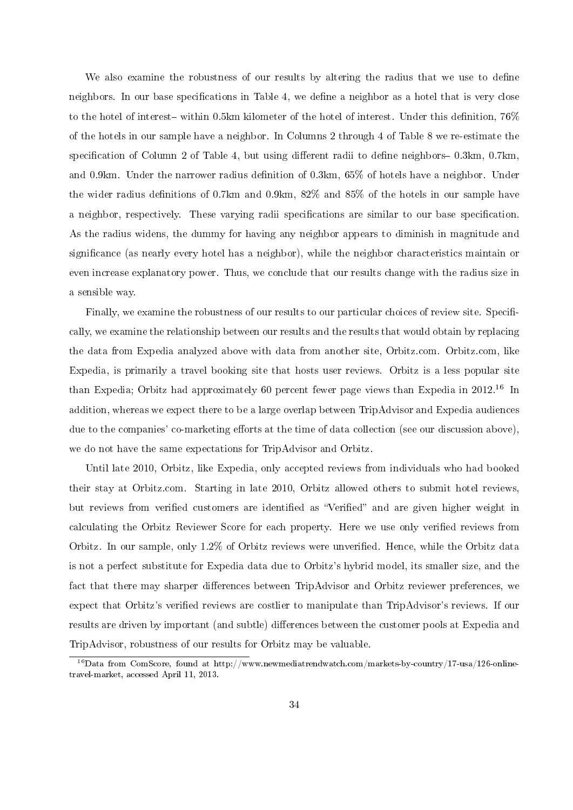We also examine the robustness of our results by altering the radius that we use to define neighbors. In our base specifications in Table 4, we define a neighbor as a hotel that is very close to the hotel of interest- within 0.5km kilometer of the hotel of interest. Under this definition,  $76\%$ of the hotels in our sample have a neighbor. In Columns 2 through 4 of Table 8 we re-estimate the specification of Column 2 of Table 4, but using different radii to define neighbors  $-0.3 \text{km}$ , 0.7km, and 0.9km. Under the narrower radius definition of  $0.3km, 65\%$  of hotels have a neighbor. Under the wider radius definitions of 0.7km and 0.9km,  $82\%$  and  $85\%$  of the hotels in our sample have a neighbor, respectively. These varying radii specifications are similar to our base specification. As the radius widens, the dummy for having any neighbor appears to diminish in magnitude and significance (as nearly every hotel has a neighbor), while the neighbor characteristics maintain or even increase explanatory power. Thus, we conclude that our results change with the radius size in a sensible way.

Finally, we examine the robustness of our results to our particular choices of review site. Specifically, we examine the relationship between our results and the results that would obtain by replacing the data from Expedia analyzed above with data from another site, Orbitz.com. Orbitz.com, like Expedia, is primarily a travel booking site that hosts user reviews. Orbitz is a less popular site than Expedia; Orbitz had approximately 60 percent fewer page views than Expedia in 2012.<sup>16</sup> In addition, whereas we expect there to be a large overlap between TripAdvisor and Expedia audiences due to the companies' co-marketing efforts at the time of data collection (see our discussion above), we do not have the same expectations for TripAdvisor and Orbitz.

Until late 2010, Orbitz, like Expedia, only accepted reviews from individuals who had booked their stay at Orbitz.com. Starting in late 2010, Orbitz allowed others to submit hotel reviews, but reviews from verified customers are identified as "Verified" and are given higher weight in calculating the Orbitz Reviewer Score for each property. Here we use only verified reviews from Orbitz. In our sample, only 1.2% of Orbitz reviews were unverified. Hence, while the Orbitz data is not a perfect substitute for Expedia data due to Orbitz's hybrid model, its smaller size, and the fact that there may sharper differences between TripAdvisor and Orbitz reviewer preferences, we expect that Orbitz's verified reviews are costlier to manipulate than TripAdvisor's reviews. If our results are driven by important (and subtle) differences between the customer pools at Expedia and TripAdvisor, robustness of our results for Orbitz may be valuable.

 $^{16}$ Data from ComScore, found at http://www.newmediatrendwatch.com/markets-by-country/17-usa/126-onlinetravel-market, accessed April 11, 2013.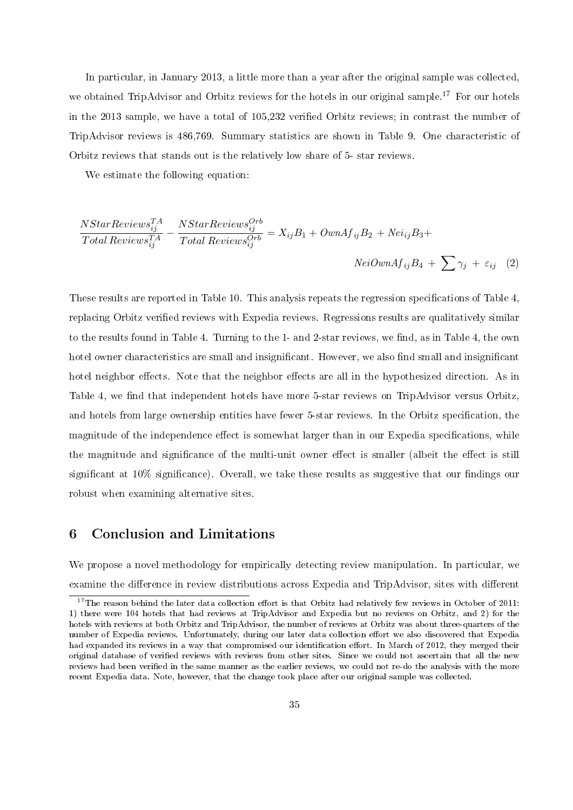In particular, in January 2013, a little more than a year after the original sample was collected, we obtained TripAdvisor and Orbitz reviews for the hotels in our original sample.<sup>17</sup> For our hotels in the 2013 sample, we have a total of 105,232 verified Orbitz reviews; in contrast the number of TripAdvisor reviews is 486,769. Summary statistics are shown in Table 9. One characteristic of Orbitz reviews that stands out is the relatively low share of 5- star reviews.

We estimate the following equation:

$$
\frac{NStarReviewS_{ij}^{TA}}{Total ReviewS_{ij}^{TA}} - \frac{NStarReviewS_{ij}^{Orb}}{Total ReviewS_{ij}^{Orb}} = X_{ij}B_1 + OwnAf_{ij}B_2 + Nei_{ij}B_3 +
$$
  

$$
NeiOwnAf_{ij}B_4 + \sum \gamma_j + \varepsilon_{ij} \quad (2)
$$

These results are reported in Table 10. This analysis repeats the regression specifications of Table 4, replacing Orbitz verified reviews with Expedia reviews. Regressions results are qualitatively similar to the results found in Table 4. Turning to the 1- and 2-star reviews, we find, as in Table 4, the own hotel owner characteristics are small and insignificant. However, we also find small and insignificant hotel neighbor effects. Note that the neighbor effects are all in the hypothesized direction. As in Table 4, we find that independent hotels have more 5-star reviews on TripAdvisor versus Orbitz, and hotels from large ownership entities have fewer 5-star reviews. In the Orbitz specification, the magnitude of the independence effect is somewhat larger than in our Expedia specifications, while the magnitude and significance of the multi-unit owner effect is smaller (albeit the effect is still significant at  $10\%$  significance). Overall, we take these results as suggestive that our findings our robust when examining alternative sites.

# 6 Conclusion and Limitations

We propose a novel methodology for empirically detecting review manipulation. In particular, we examine the difference in review distributions across Expedia and TripAdvisor, sites with different

 $17$ The reason behind the later data collection effort is that Orbitz had relatively few reviews in October of 2011: 1) there were 104 hotels that had reviews at TripAdvisor and Expedia but no reviews on Orbitz, and 2) for the hotels with reviews at both Orbitz and TripAdvisor, the number of reviews at Orbitz was about three-quarters of the number of Expedia reviews. Unfortunately, during our later data collection effort we also discovered that Expedia had expanded its reviews in a way that compromised our identification effort. In March of 2012, they merged their original database of verified reviews with reviews from other sites. Since we could not ascertain that all the new reviews had been verified in the same manner as the earlier reviews, we could not re-do the analysis with the more recent Expedia data. Note, however, that the change took place after our original sample was collected.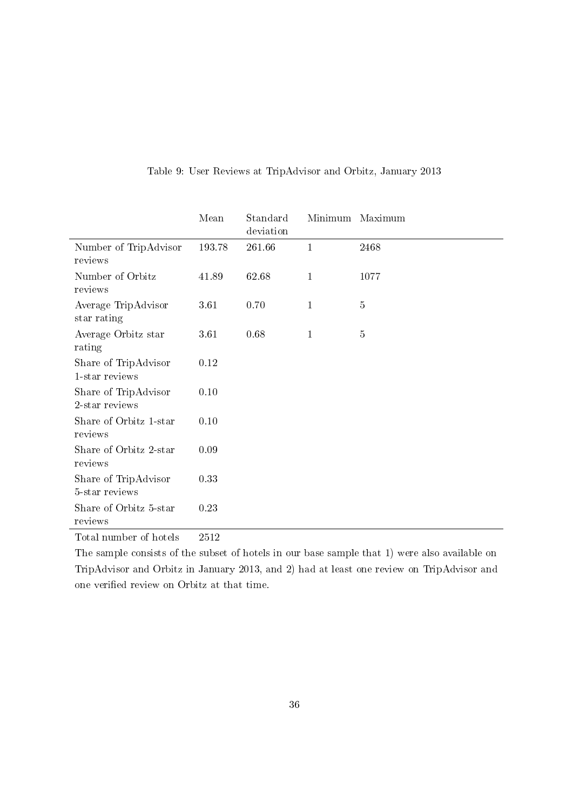|                                        | Mean                 | Standard<br>deviation |              | Minimum Maximum |
|----------------------------------------|----------------------|-----------------------|--------------|-----------------|
| Number of TripAdvisor<br>reviews       | 193.78               | 261.66                | $\mathbf{1}$ | 2468            |
| Number of Orbitz<br>reviews            | 41.89                | 62.68                 | $\mathbf{1}$ | 1077            |
| Average TripAdvisor<br>star rating     | 3.61                 | 0.70                  | $\mathbf{1}$ | $\bf 5$         |
| Average Orbitz star<br>rating          | 3.61                 | 0.68                  | $\mathbf{1}$ | $\bf 5$         |
| Share of TripAdvisor<br>1-star reviews | 0.12                 |                       |              |                 |
| Share of TripAdvisor<br>2-star reviews | 0.10                 |                       |              |                 |
| Share of Orbitz 1-star<br>reviews      | 0.10                 |                       |              |                 |
| Share of Orbitz 2-star<br>reviews      | 0.09                 |                       |              |                 |
| Share of TripAdvisor<br>5-star reviews | 0.33                 |                       |              |                 |
| Share of Orbitz 5-star<br>reviews      | 0.23                 |                       |              |                 |
| $\sim$ $\sim$ $\sim$ $\sim$            | $\sim$ $\sim$ $\sim$ |                       |              |                 |

## Table 9: User Reviews at TripAdvisor and Orbitz, January 2013

Total number of hotels 2512

The sample consists of the subset of hotels in our base sample that 1) were also available on TripAdvisor and Orbitz in January 2013, and 2) had at least one review on TripAdvisor and one verified review on Orbitz at that time.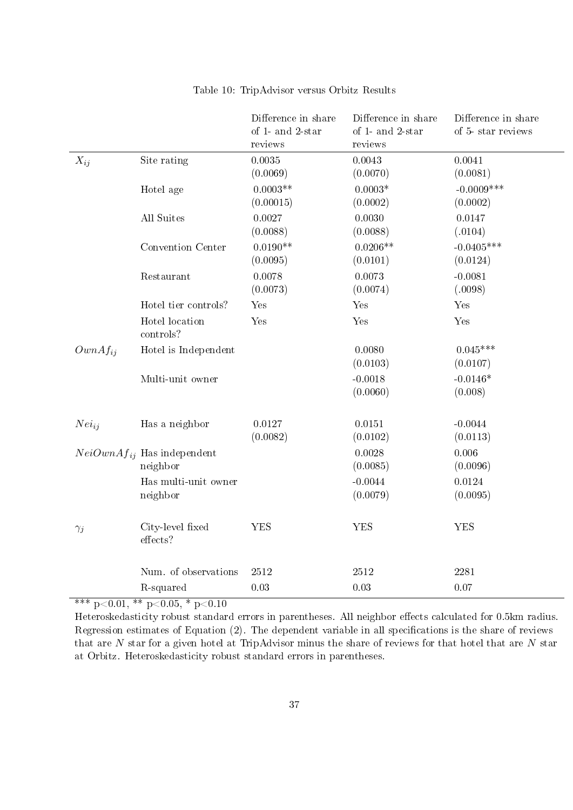|              |                                             | Difference in share<br>of 1- and 2-star<br>reviews | Difference in share<br>of 1- and 2-star<br>reviews | Difference in share<br>of 5-star reviews |
|--------------|---------------------------------------------|----------------------------------------------------|----------------------------------------------------|------------------------------------------|
| $X_{ij}$     | Site rating                                 | 0.0035<br>(0.0069)                                 | 0.0043<br>(0.0070)                                 | 0.0041<br>(0.0081)                       |
|              | Hotel age                                   | $0.0003**$<br>(0.00015)                            | $0.0003*$<br>(0.0002)                              | $-0.0009***$<br>(0.0002)                 |
|              | All Suites                                  | 0.0027<br>(0.0088)                                 | 0.0030<br>(0.0088)                                 | 0.0147<br>(.0104)                        |
|              | Convention Center                           | $0.0190**$<br>(0.0095)                             | $0.0206**$<br>(0.0101)                             | $-0.0405***$<br>(0.0124)                 |
|              | Restaurant                                  | 0.0078<br>(0.0073)                                 | 0.0073<br>(0.0074)                                 | $-0.0081$<br>(.0098)                     |
|              | Hotel tier controls?                        | Yes                                                | Yes                                                | Yes                                      |
|              | Hotel location<br>controls?                 | Yes                                                | Yes                                                | Yes                                      |
| $OwnAf_{ii}$ | Hotel is Independent                        |                                                    | 0.0080<br>(0.0103)                                 | $0.045***$<br>(0.0107)                   |
|              | Multi-unit owner                            |                                                    | $-0.0018$<br>(0.0060)                              | $-0.0146*$<br>(0.008)                    |
| $Nei_{ii}$   | Has a neighbor                              | 0.0127<br>(0.0082)                                 | 0.0151<br>(0.0102)                                 | $-0.0044$<br>(0.0113)                    |
|              | $NeiOwnAf_{ij}$ Has independent<br>neighbor |                                                    | 0.0028<br>(0.0085)                                 | 0.006<br>(0.0096)                        |
|              | Has multi-unit owner<br>neighbor            |                                                    | $-0.0044$<br>(0.0079)                              | 0.0124<br>(0.0095)                       |
| $\gamma_j$   | City-level fixed<br>effects?                | <b>YES</b>                                         | <b>YES</b>                                         | <b>YES</b>                               |
|              | Num. of observations                        | 2512                                               | 2512                                               | 2281                                     |
|              | R-squared                                   | 0.03                                               | 0.03                                               | 0.07                                     |

## Table 10: TripAdvisor versus Orbitz Results

\*\*\* p<0.01, \*\* p<0.05, \* p<0.10

Heteroskedasticity robust standard errors in parentheses. All neighbor effects calculated for 0.5km radius. Regression estimates of Equation  $(2)$ . The dependent variable in all specifications is the share of reviews that are  $N$  star for a given hotel at TripAdvisor minus the share of reviews for that hotel that are  $N$  star at Orbitz. Heteroskedasticity robust standard errors in parentheses.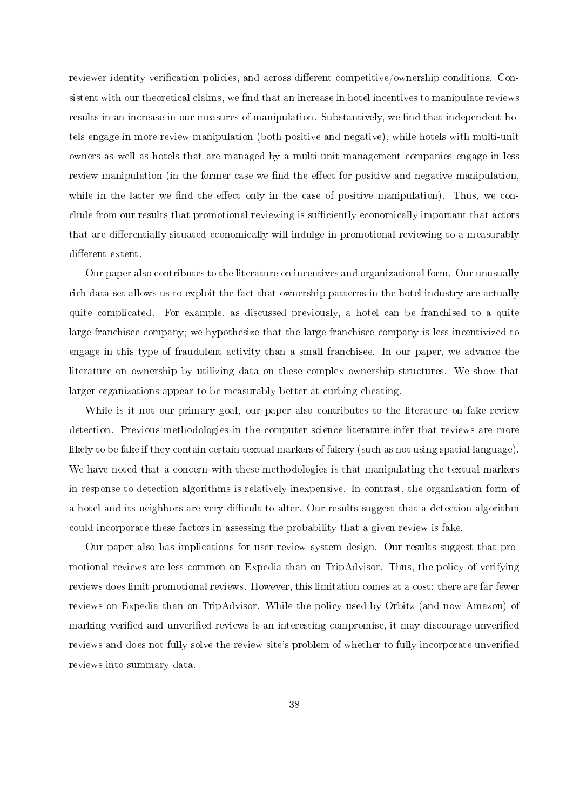reviewer identity verification policies, and across different competitive/ownership conditions. Consistent with our theoretical claims, we find that an increase in hotel incentives to manipulate reviews results in an increase in our measures of manipulation. Substantively, we find that independent hotels engage in more review manipulation (both positive and negative), while hotels with multi-unit owners as well as hotels that are managed by a multi-unit management companies engage in less review manipulation (in the former case we find the effect for positive and negative manipulation, while in the latter we find the effect only in the case of positive manipulation). Thus, we conclude from our results that promotional reviewing is sufficiently economically important that actors that are differentially situated economically will indulge in promotional reviewing to a measurably different extent.

Our paper also contributes to the literature on incentives and organizational form. Our unusually rich data set allows us to exploit the fact that ownership patterns in the hotel industry are actually quite complicated. For example, as discussed previously, a hotel can be franchised to a quite large franchisee company; we hypothesize that the large franchisee company is less incentivized to engage in this type of fraudulent activity than a small franchisee. In our paper, we advance the literature on ownership by utilizing data on these complex ownership structures. We show that larger organizations appear to be measurably better at curbing cheating.

While is it not our primary goal, our paper also contributes to the literature on fake review detection. Previous methodologies in the computer science literature infer that reviews are more likely to be fake if they contain certain textual markers of fakery (such as not using spatial language). We have noted that a concern with these methodologies is that manipulating the textual markers in response to detection algorithms is relatively inexpensive. In contrast, the organization form of a hotel and its neighbors are very difficult to alter. Our results suggest that a detection algorithm could incorporate these factors in assessing the probability that a given review is fake.

Our paper also has implications for user review system design. Our results suggest that promotional reviews are less common on Expedia than on TripAdvisor. Thus, the policy of verifying reviews does limit promotional reviews. However, this limitation comes at a cost: there are far fewer reviews on Expedia than on TripAdvisor. While the policy used by Orbitz (and now Amazon) of marking verified and unverified reviews is an interesting compromise, it may discourage unverified reviews and does not fully solve the review site's problem of whether to fully incorporate unverified reviews into summary data.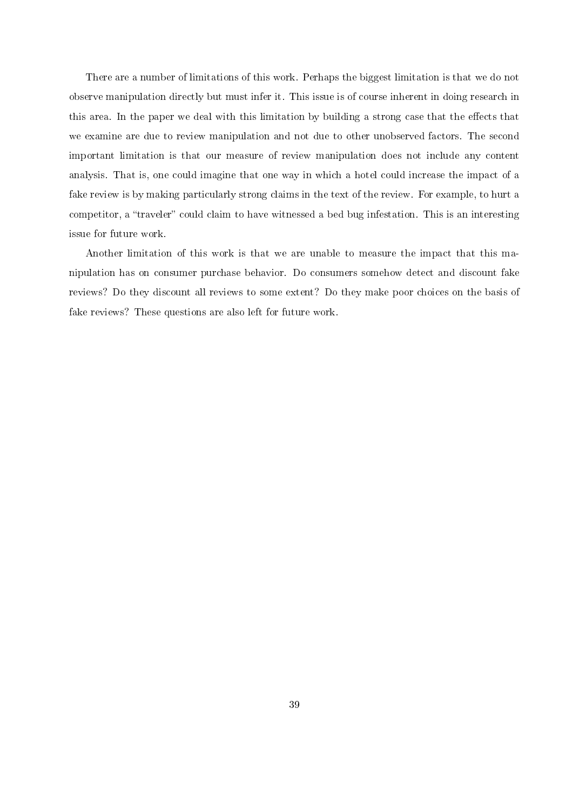There are a number of limitations of this work. Perhaps the biggest limitation is that we do not observe manipulation directly but must infer it. This issue is of course inherent in doing research in this area. In the paper we deal with this limitation by building a strong case that the effects that we examine are due to review manipulation and not due to other unobserved factors. The second important limitation is that our measure of review manipulation does not include any content analysis. That is, one could imagine that one way in which a hotel could increase the impact of a fake review is by making particularly strong claims in the text of the review. For example, to hurt a competitor, a "traveler" could claim to have witnessed a bed bug infestation. This is an interesting issue for future work.

Another limitation of this work is that we are unable to measure the impact that this manipulation has on consumer purchase behavior. Do consumers somehow detect and discount fake reviews? Do they discount all reviews to some extent? Do they make poor choices on the basis of fake reviews? These questions are also left for future work.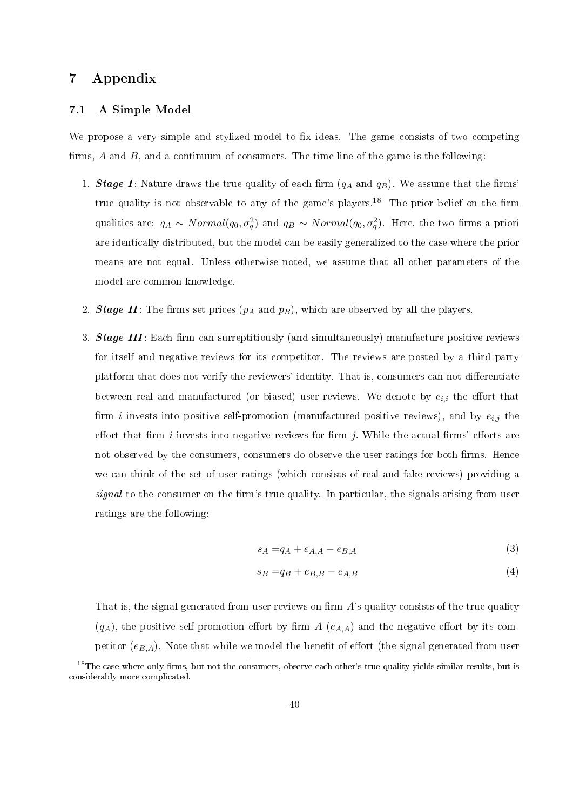# 7 Appendix

#### 7.1 A Simple Model

We propose a very simple and stylized model to fix ideas. The game consists of two competing firms,  $A$  and  $B$ , and a continuum of consumers. The time line of the game is the following:

- 1. **Stage I**: Nature draws the true quality of each firm  $(q_A \text{ and } q_B)$ . We assume that the firms' true quality is not observable to any of the game's players.<sup>18</sup> The prior belief on the firm qualities are:  $q_A \sim Normal(q_0, \sigma_q^2)$  and  $q_B \sim Normal(q_0, \sigma_q^2)$ . Here, the two firms a priori are identically distributed, but the model can be easily generalized to the case where the prior means are not equal. Unless otherwise noted, we assume that all other parameters of the model are common knowledge.
- 2. Stage II: The firms set prices  $(p_A \text{ and } p_B)$ , which are observed by all the players.
- 3. **Stage III**: Each firm can surreptitiously (and simultaneously) manufacture positive reviews for itself and negative reviews for its competitor. The reviews are posted by a third party platform that does not verify the reviewers' identity. That is, consumers can not differentiate between real and manufactured (or biased) user reviews. We denote by  $e_{i,i}$  the effort that firm *i* invests into positive self-promotion (manufactured positive reviews), and by  $e_{i,j}$  the effort that firm i invests into negative reviews for firm j. While the actual firms' efforts are not observed by the consumers, consumers do observe the user ratings for both firms. Hence we can think of the set of user ratings (which consists of real and fake reviews) providing a signal to the consumer on the firm's true quality. In particular, the signals arising from user ratings are the following:

$$
s_A = q_A + e_{A,A} - e_{B,A} \tag{3}
$$

$$
s_B = q_B + e_{B,B} - e_{A,B} \tag{4}
$$

That is, the signal generated from user reviews on firm  $A$ 's quality consists of the true quality  $(q_A)$ , the positive self-promotion effort by firm A  $(e_{A,A})$  and the negative effort by its competitor  $(e_{B,A})$ . Note that while we model the benefit of effort (the signal generated from user

<sup>&</sup>lt;sup>18</sup>The case where only firms, but not the consumers, observe each other's true quality yields similar results, but is considerably more complicated.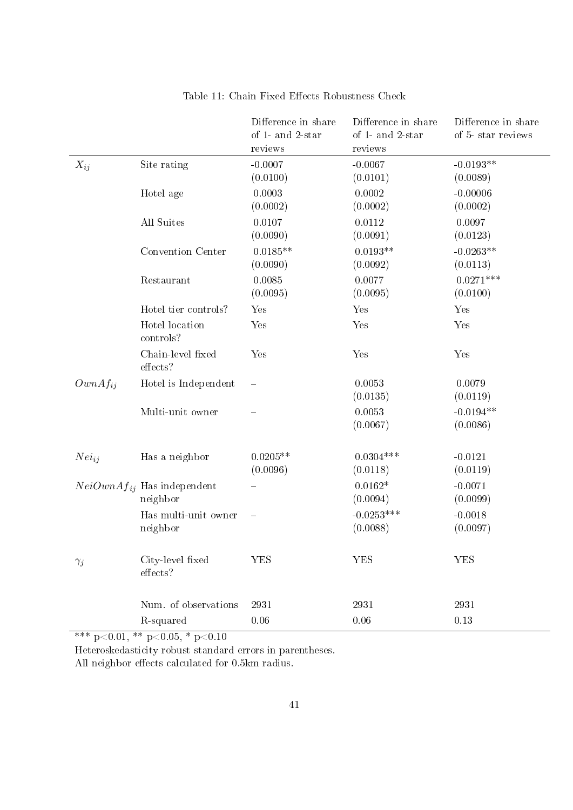|              |                                             | Difference in share<br>of 1- and 2-star<br>reviews | Difference in share<br>of 1- and 2-star<br>reviews | Difference in share<br>of 5-star reviews |
|--------------|---------------------------------------------|----------------------------------------------------|----------------------------------------------------|------------------------------------------|
| $X_{ij}$     | Site rating                                 | $-0.0007$<br>(0.0100)                              | $-0.0067$<br>(0.0101)                              | $-0.0193**$<br>(0.0089)                  |
|              | Hotel age                                   | 0.0003<br>(0.0002)                                 | 0.0002<br>(0.0002)                                 | $-0.00006$<br>(0.0002)                   |
|              | All Suites                                  | 0.0107<br>(0.0090)                                 | 0.0112<br>(0.0091)                                 | 0.0097<br>(0.0123)                       |
|              | Convention Center                           | $0.0185**$<br>(0.0090)                             | $0.0193**$<br>(0.0092)                             | $-0.0263**$<br>(0.0113)                  |
|              | Restaurant                                  | 0.0085<br>(0.0095)                                 | 0.0077<br>(0.0095)                                 | $0.0271***$<br>(0.0100)                  |
|              | Hotel tier controls?                        | Yes                                                | Yes                                                | Yes                                      |
|              | Hotel location<br>controls?                 | Yes                                                | Yes                                                | Yes                                      |
|              | Chain-level fixed<br>effects?               | Yes                                                | Yes                                                | Yes                                      |
| $OwnAf_{ii}$ | Hotel is Independent                        |                                                    | 0.0053<br>(0.0135)                                 | 0.0079<br>(0.0119)                       |
|              | Multi-unit owner                            |                                                    | 0.0053<br>(0.0067)                                 | $-0.0194**$<br>(0.0086)                  |
| $Nei_{ij}$   | Has a neighbor                              | $0.0205**$<br>(0.0096)                             | $0.0304***$<br>(0.0118)                            | $-0.0121$<br>(0.0119)                    |
|              | $NeiOwnAf_{ij}$ Has independent<br>neighbor |                                                    | $0.0162*$<br>(0.0094)                              | $-0.0071$<br>(0.0099)                    |
|              | Has multi-unit owner<br>neighbor            |                                                    | $-0.0253***$<br>(0.0088)                           | $-0.0018$<br>(0.0097)                    |
| $\gamma_j$   | City-level fixed<br>effects?                | <b>YES</b>                                         | <b>YES</b>                                         | <b>YES</b>                               |
|              | Num. of observations                        | 2931                                               | 2931                                               | 2931                                     |
|              | R-squared                                   | $0.06\,$                                           | 0.06                                               | 0.13                                     |

## Table 11: Chain Fixed Effects Robustness Check

\*\*\* p<0.01, \*\* p<0.05, \* p<0.10

Heteroskedasticity robust standard errors in parentheses.

All neighbor effects calculated for 0.5km radius.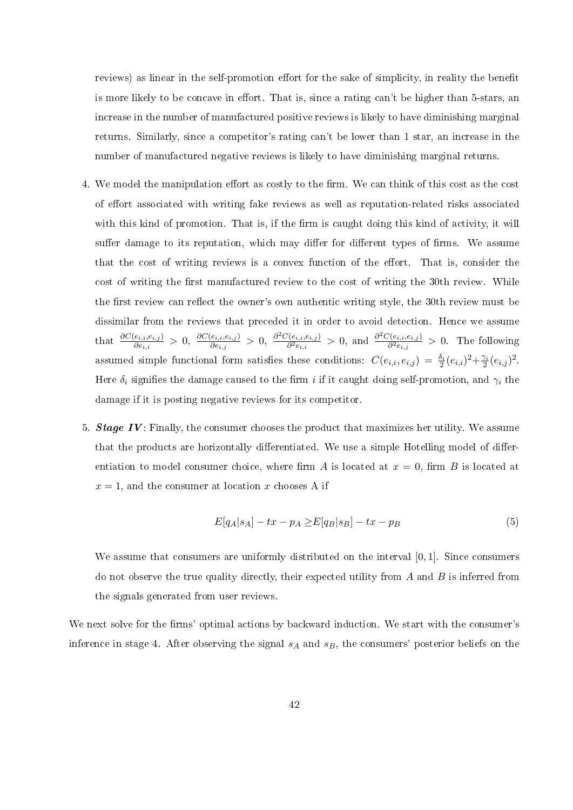reviews) as linear in the self-promotion effort for the sake of simplicity, in reality the benefit is more likely to be concave in effort. That is, since a rating can't be higher than 5-stars, an increase in the number of manufactured positive reviews is likely to have diminishing marginal returns. Similarly, since a competitor's rating can't be lower than 1 star, an increase in the number of manufactured negative reviews is likely to have diminishing marginal returns.

- 4. We model the manipulation effort as costly to the firm. We can think of this cost as the cost of effort associated with writing fake reviews as well as reputation-related risks associated with this kind of promotion. That is, if the firm is caught doing this kind of activity, it will suffer damage to its reputation, which may differ for different types of firms. We assume that the cost of writing reviews is a convex function of the effort. That is, consider the cost of writing the first manufactured review to the cost of writing the 30th review. While the first review can reflect the owner's own authentic writing style, the 30th review must be dissimilar from the reviews that preceded it in order to avoid detection. Hence we assume that  $\frac{\partial C(e_{i,i}, e_{i,j})}{\partial e_{i,i}} > 0$ ,  $\frac{\partial C(e_{i,i}, e_{i,j})}{\partial e_{i,j}}$  $\frac{\partial^2 C(e_{i,i},e_{i,j})}{\partial e_{i,j}} > 0, \ \frac{\partial^2 C(e_{i,i},e_{i,j})}{\partial^2 e_{i,i}}$  $\frac{\partial^2 C(e_{i,i}, e_{i,j})}{\partial^2 e_{i,i}} > 0$ , and  $\frac{\partial^2 C(e_{i,i}, e_{i,j})}{\partial^2 e_{i,j}}$  $\frac{\partial \langle e_{i,i}, e_{i,j} \rangle}{\partial^2 e_{i,j}} > 0$ . The following assumed simple functional form satisfies these conditions:  $C(e_{i,i}, e_{i,j}) = \frac{\delta_i}{2} (e_{i,i})^2 + \frac{\gamma_i}{2} (e_{i,j})^2$ . Here  $\delta_i$  signifies the damage caused to the firm i if it caught doing self-promotion, and  $\gamma_i$  the damage if it is posting negative reviews for its competitor.
- 5. **Stage IV**: Finally, the consumer chooses the product that maximizes her utility. We assume that the products are horizontally differentiated. We use a simple Hotelling model of differentiation to model consumer choice, where firm A is located at  $x = 0$ , firm B is located at  $x = 1$ , and the consumer at location x chooses A if

$$
E[q_A|s_A] - tx - p_A \ge E[q_B|s_B] - tx - p_B \tag{5}
$$

We assume that consumers are uniformly distributed on the interval [0, 1]. Since consumers do not observe the true quality directly, their expected utility from  $A$  and  $B$  is inferred from the signals generated from user reviews.

We next solve for the firms' optimal actions by backward induction. We start with the consumer's inference in stage 4. After observing the signal  $s_A$  and  $s_B$ , the consumers' posterior beliefs on the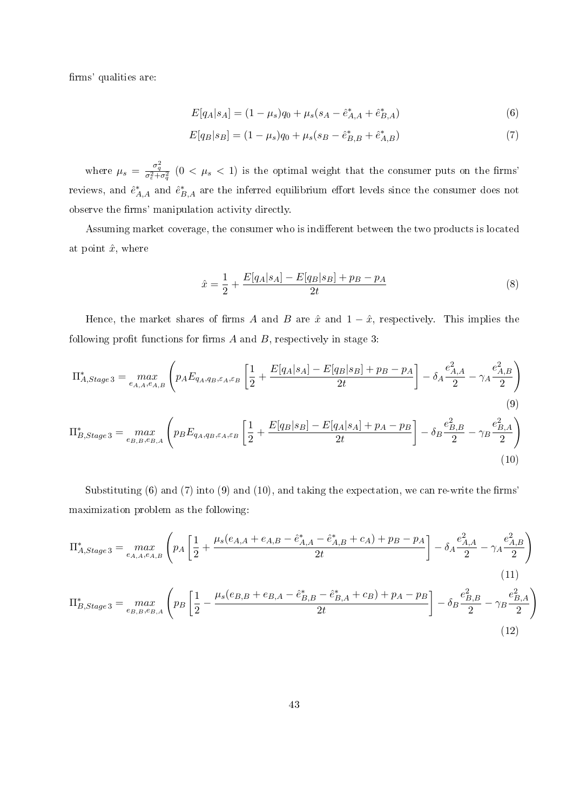firms' qualities are:

$$
E[q_A|s_A] = (1 - \mu_s)q_0 + \mu_s(s_A - \hat{e}_{A,A}^* + \hat{e}_{B,A}^*)
$$
\n(6)

$$
E[q_B|s_B] = (1 - \mu_s)q_0 + \mu_s(s_B - \hat{e}_{B,B}^* + \hat{e}_{A,B}^*)
$$
\n<sup>(7)</sup>

where  $\mu_s = \frac{\sigma_q^2}{\sigma_\varepsilon^2 + \sigma_q^2}$   $(0 < \mu_s < 1)$  is the optimal weight that the consumer puts on the firms' reviews, and  $\hat{e}^*_{A,A}$  and  $\hat{e}^*_{B,A}$  are the inferred equilibrium effort levels since the consumer does not observe the firms' manipulation activity directly.

Assuming market coverage, the consumer who is indifferent between the two products is located at point  $\hat{x}$ , where

$$
\hat{x} = \frac{1}{2} + \frac{E[q_A|s_A] - E[q_B|s_B] + p_B - p_A}{2t} \tag{8}
$$

Hence, the market shares of firms A and B are  $\hat{x}$  and  $1 - \hat{x}$ , respectively. This implies the following profit functions for firms  $A$  and  $B$ , respectively in stage 3:

$$
\Pi_{A,Stage3}^{*} = \max_{e_{A,A}, e_{A,B}} \left( p_A E_{q_A, q_B, \varepsilon_A, \varepsilon_B} \left[ \frac{1}{2} + \frac{E[q_A|s_A] - E[q_B|s_B] + p_B - p_A}{2t} \right] - \delta_A \frac{e_{A,A}^2}{2} - \gamma_A \frac{e_{A,B}^2}{2} \right)
$$
\n(9)\n
$$
\Pi_{B,Stage3}^{*} = \max_{e_{B,B}, e_{B,A}} \left( p_B E_{q_A, q_B, \varepsilon_A, \varepsilon_B} \left[ \frac{1}{2} + \frac{E[q_B|s_B] - E[q_A|s_A] + p_A - p_B}{2t} \right] - \delta_B \frac{e_{B,B}^2}{2} - \gamma_B \frac{e_{B,A}^2}{2} \right)
$$
\n(10)

Substituting  $(6)$  and  $(7)$  into  $(9)$  and  $(10)$ , and taking the expectation, we can re-write the firms' maximization problem as the following:

$$
\Pi_{A,Stage3}^{*} = \max_{e_{A,A}, e_{A,B}} \left( p_A \left[ \frac{1}{2} + \frac{\mu_s(e_{A,A} + e_{A,B} - \hat{e}_{A,A}^{*} - \hat{e}_{A,B}^{*} + c_A) + p_B - p_A}{2t} \right] - \delta_A \frac{e_{A,A}^2}{2} - \gamma_A \frac{e_{A,B}^2}{2} \right)
$$
\n(11)\n
$$
\Pi_{B,Stage3}^{*} = \max_{e_{B,B}, e_{B,A}} \left( p_B \left[ \frac{1}{2} - \frac{\mu_s(e_{B,B} + e_{B,A} - \hat{e}_{B,B}^{*} - \hat{e}_{B,A}^{*} + c_B) + p_A - p_B}{2t} \right] - \delta_B \frac{e_{B,B}^2}{2} - \gamma_B \frac{e_{B,A}^2}{2} \right)
$$
\n(12)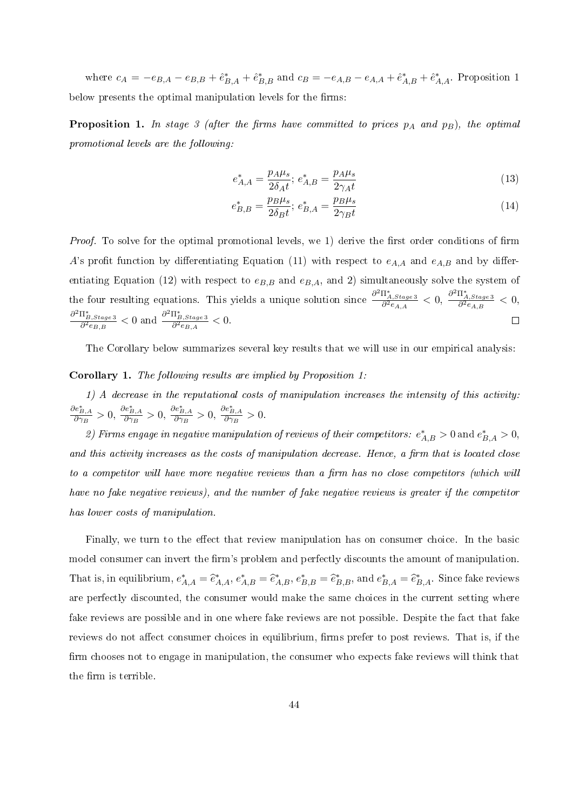where  $c_A = -e_{B,A} - e_{B,B} + \hat{e}_{B,A}^* + \hat{e}_{B,B}^*$  and  $c_B = -e_{A,B} - e_{A,A} + \hat{e}_{A,B}^* + \hat{e}_{A,A}^*$ . Proposition 1 below presents the optimal manipulation levels for the firms:

**Proposition 1.** In stage 3 (after the firms have committed to prices  $p_A$  and  $p_B$ ), the optimal promotional levels are the following:

$$
e_{A,A}^{*} = \frac{p_A \mu_s}{2\delta_A t}; \ e_{A,B}^{*} = \frac{p_A \mu_s}{2\gamma_A t}
$$
\n(13)

$$
e_{B,B}^{*} = \frac{p_B \mu_s}{2\delta_B t}; \ e_{B,A}^{*} = \frac{p_B \mu_s}{2\gamma_B t}
$$
 (14)

*Proof.* To solve for the optimal promotional levels, we 1) derive the first order conditions of firm A's profit function by differentiating Equation (11) with respect to  $e_{A,A}$  and  $e_{A,B}$  and by differentiating Equation (12) with respect to  $e_{B,B}$  and  $e_{B,A}$ , and 2) simultaneously solve the system of the four resulting equations. This yields a unique solution since  $\frac{\partial^2 \Pi^*_{A,Stage3}}{\partial^2 e_{A,A}} < 0$ ,  $\frac{\partial^2 \Pi^*_{A,Stage3}}{\partial^2 e_{A,B}} < 0$ ,  $\frac{\partial^2 \Pi_{B,Stage\,3}^*}{\partial^2 e_{B,B}} < 0$  and  $\frac{\partial^2 \Pi_{B,Stage\,3}^*}{\partial^2 e_{B,A}} < 0$ .  $\Box$ 

The Corollary below summarizes several key results that we will use in our empirical analysis:

#### Corollary 1. The following results are implied by Proposition 1:

1) A decrease in the reputational costs of manipulation increases the intensity of this activity:  $\frac{\partial e_{B,A}^*}{\partial \gamma_B} > 0$ ,  $\frac{\partial e_{B,A}^*}{\partial \gamma_B} > 0$ ,  $\frac{\partial e_{B,A}^*}{\partial \gamma_B} > 0$ .

2) Firms engage in negative manipulation of reviews of their competitors:  $e^*_{A,B} > 0$  and  $e^*_{B,A} > 0$ , and this activity increases as the costs of manipulation decrease. Hence, a firm that is located close to a competitor will have more negative reviews than a firm has no close competitors (which will have no fake negative reviews), and the number of fake negative reviews is greater if the competitor has lower costs of manipulation.

Finally, we turn to the effect that review manipulation has on consumer choice. In the basic model consumer can invert the firm's problem and perfectly discounts the amount of manipulation. That is, in equilibrium,  $e^*_{A,A} = \hat{e}^*_{A,A}, e^*_{A,B} = \hat{e}^*_{A,B}, e^*_{B,B} = \hat{e}^*_{B,B}$ , and  $e^*_{B,A} = \hat{e}^*_{B,A}$ . Since fake reviews are perfectly discounted, the consumer would make the same choices in the current setting where fake reviews are possible and in one where fake reviews are not possible. Despite the fact that fake reviews do not affect consumer choices in equilibrium, firms prefer to post reviews. That is, if the firm chooses not to engage in manipulation, the consumer who expects fake reviews will think that the firm is terrible.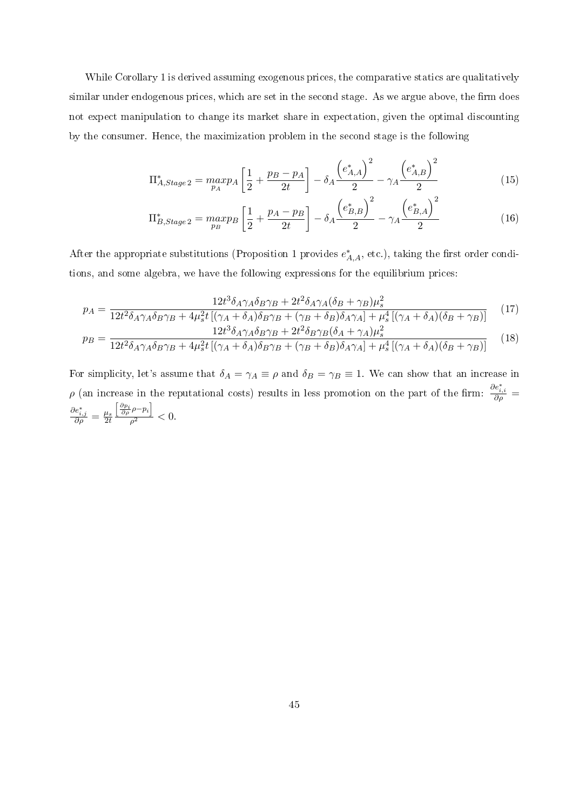While Corollary 1 is derived assuming exogenous prices, the comparative statics are qualitatively similar under endogenous prices, which are set in the second stage. As we argue above, the firm does not expect manipulation to change its market share in expectation, given the optimal discounting by the consumer. Hence, the maximization problem in the second stage is the following

$$
\Pi_{A,Stage\,2}^{*} = \max_{p_A} p_A \left[ \frac{1}{2} + \frac{p_B - p_A}{2t} \right] - \delta_A \frac{\left( e_{A,A}^{*} \right)^2}{2} - \gamma_A \frac{\left( e_{A,B}^{*} \right)^2}{2} \tag{15}
$$

$$
\Pi_{B,Stage\,2}^{*} = \max_{p_B} p_B \left[ \frac{1}{2} + \frac{p_A - p_B}{2t} \right] - \delta_A \frac{\left( e_{B,B}^{*} \right)^2}{2} - \gamma_A \frac{\left( e_{B,A}^{*} \right)^2}{2} \tag{16}
$$

After the appropriate substitutions (Proposition 1 provides  $e^*_{A,A}$ , etc.), taking the first order conditions, and some algebra, we have the following expressions for the equilibrium prices:

$$
p_A = \frac{12t^3 \delta_A \gamma_A \delta_B \gamma_B + 2t^2 \delta_A \gamma_A (\delta_B + \gamma_B) \mu_s^2}{12t^2 \delta_A \gamma_A \delta_B \gamma_B + 4\mu_s^2 t \left[ (\gamma_A + \delta_A) \delta_B \gamma_B + (\gamma_B + \delta_B) \delta_A \gamma_A \right] + \mu_s^4 \left[ (\gamma_A + \delta_A) (\delta_B + \gamma_B) \right]} \tag{17}
$$

$$
p_B = \frac{12t^3 \delta_A \gamma_A \delta_B \gamma_B + 2t^2 \delta_B \gamma_B (\delta_A + \gamma_A) \mu_s^2}{12t^2 \delta_A \gamma_A \delta_B \gamma_B + 4\mu_s^2 t \left[ (\gamma_A + \delta_A) \delta_B \gamma_B + (\gamma_B + \delta_B) \delta_A \gamma_A \right] + \mu_s^4 \left[ (\gamma_A + \delta_A) (\delta_B + \gamma_B) \right]} \tag{18}
$$

For simplicity, let's assume that  $\delta_A = \gamma_A \equiv \rho$  and  $\delta_B = \gamma_B \equiv 1$ . We can show that an increase in ρ (an increase in the reputational costs) results in less promotion on the part of the firm:  $\frac{\partial e_{i,i}^*}{\partial \rho}$  =  $\frac{\partial e_{i,j}^*}{\partial \rho} = \frac{\mu_s}{2t}$  $2<sub>t</sub>$  $\left[\frac{\partial p_i}{\partial \rho} \rho - p_i\right]$  $\frac{1}{\rho^2} < 0.$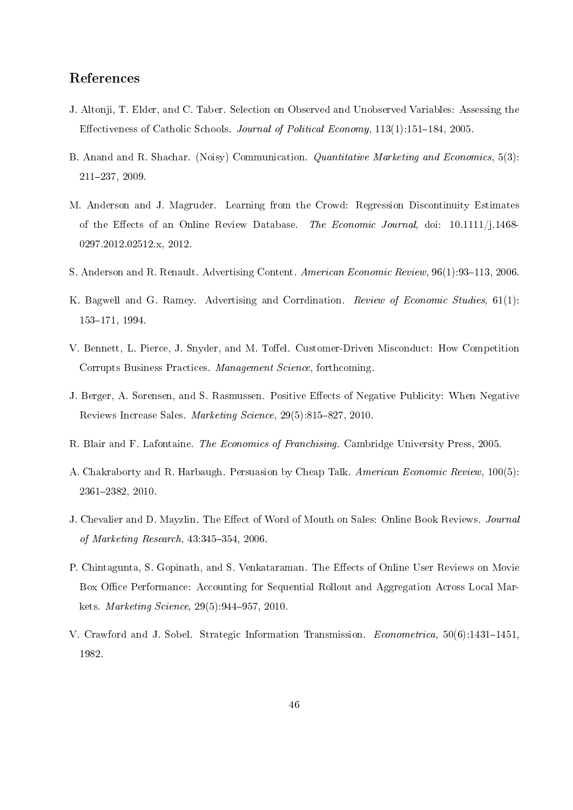## References

- J. Altonji, T. Elder, and C. Taber. Selection on Observed and Unobserved Variables: Assessing the Effectiveness of Catholic Schools. Journal of Political Economy,  $113(1):151-184$ , 2005.
- B. Anand and R. Shachar. (Noisy) Communication. Quantitative Marketing and Economics, 5(3): 211237, 2009.
- M. Anderson and J. Magruder. Learning from the Crowd: Regression Discontinuity Estimates of the Effects of an Online Review Database. The Economic Journal, doi: 10.1111/j.1468-0297.2012.02512.x, 2012.
- S. Anderson and R. Renault. Advertising Content. American Economic Review, 96(1):93-113, 2006.
- K. Bagwell and G. Ramey. Advertising and Corrdination. Review of Economic Studies, 61(1): 153-171, 1994.
- V. Bennett, L. Pierce, J. Snyder, and M. Toffel. Customer-Driven Misconduct: How Competition Corrupts Business Practices. Management Science, forthcoming.
- J. Berger, A. Sorensen, and S. Rasmussen. Positive Effects of Negative Publicity: When Negative Reviews Increase Sales. Marketing Science, 29(5):815-827, 2010.
- R. Blair and F. Lafontaine. The Economics of Franchising. Cambridge University Press, 2005.
- A. Chakraborty and R. Harbaugh. Persuasion by Cheap Talk. American Economic Review, 100(5): 23612382, 2010.
- J. Chevalier and D. Mayzlin. The Effect of Word of Mouth on Sales: Online Book Reviews. Journal of Marketing Research,  $43:345-354$ , 2006.
- P. Chintagunta, S. Gopinath, and S. Venkataraman. The Effects of Online User Reviews on Movie Box Office Performance: Accounting for Sequential Rollout and Aggregation Across Local Markets. *Marketing Science*, 29(5):944–957, 2010.
- V. Crawford and J. Sobel. Strategic Information Transmission. *Econometrica*,  $50(6)$ :1431–1451, 1982.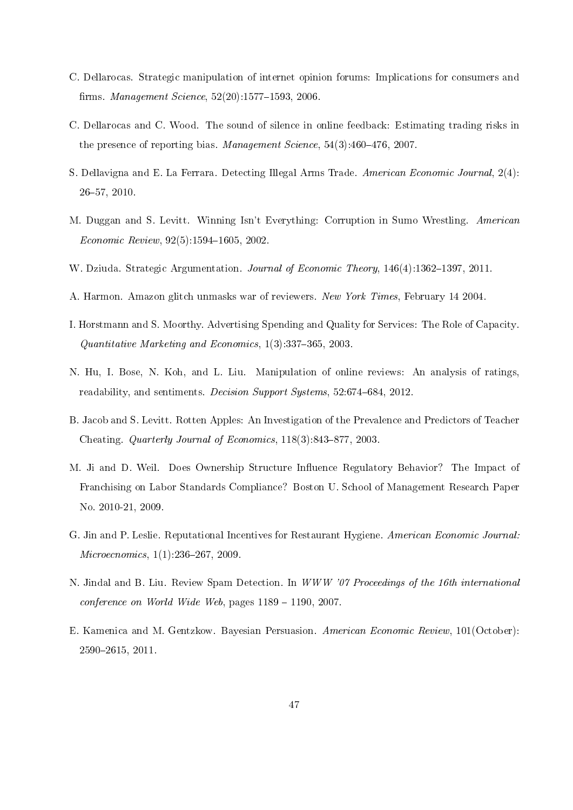- C. Dellarocas. Strategic manipulation of internet opinion forums: Implications for consumers and firms. *Management Science*,  $52(20)$ :1577-1593, 2006.
- C. Dellarocas and C. Wood. The sound of silence in online feedback: Estimating trading risks in the presence of reporting bias. Management Science,  $54(3)$ : $460-476$ ,  $2007$ .
- S. Dellavigna and E. La Ferrara. Detecting Illegal Arms Trade. American Economic Journal, 2(4): 2657, 2010.
- M. Duggan and S. Levitt. Winning Isn't Everything: Corruption in Sumo Wrestling. American  $Economic$   $Review$ ,  $92(5)$ :1594-1605, 2002.
- W. Dziuda. Strategic Argumentation. Journal of Economic Theory, 146(4):1362–1397, 2011.
- A. Harmon. Amazon glitch unmasks war of reviewers. New York Times, February 14 2004.
- I. Horstmann and S. Moorthy. Advertising Spending and Quality for Services: The Role of Capacity. Quantitative Marketing and Economics,  $1(3):337-365$ , 2003.
- N. Hu, I. Bose, N. Koh, and L. Liu. Manipulation of online reviews: An analysis of ratings, readability, and sentiments. *Decision Support Systems*, 52:674-684, 2012.
- B. Jacob and S. Levitt. Rotten Apples: An Investigation of the Prevalence and Predictors of Teacher Cheating. Quarterly Journal of Economics,  $118(3):843-877$ ,  $2003$ .
- M. Ji and D. Weil. Does Ownership Structure Influence Regulatory Behavior? The Impact of Franchising on Labor Standards Compliance? Boston U. School of Management Research Paper No. 2010-21, 2009.
- G. Jin and P. Leslie. Reputational Incentives for Restaurant Hygiene. American Economic Journal:  $Microeconomics, 1(1):236-267, 2009.$
- N. Jindal and B. Liu. Review Spam Detection. In WWW '07 Proceedings of the 16th international conference on World Wide Web, pages  $1189 - 1190$ , 2007.
- E. Kamenica and M. Gentzkow. Bayesian Persuasion. American Economic Review, 101(October): 25902615, 2011.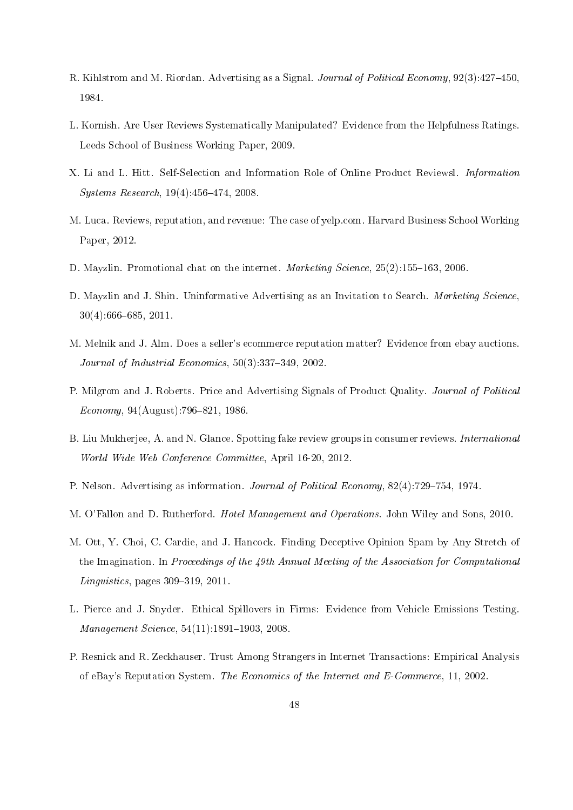- R. Kihlstrom and M. Riordan. Advertising as a Signal. Journal of Political Economy, 92(3):427–450, 1984.
- L. Kornish. Are User Reviews Systematically Manipulated? Evidence from the Helpfulness Ratings. Leeds School of Business Working Paper, 2009.
- X. Li and L. Hitt. Self-Selection and Information Role of Online Product Reviewsl. Information  $Systems Research, 19(4):456-474, 2008.$
- M. Luca. Reviews, reputation, and revenue: The case of yelp.com. Harvard Business School Working Paper, 2012.
- D. Mayzlin. Promotional chat on the internet. *Marketing Science*,  $25(2):155-163$ ,  $2006$ .
- D. Mayzlin and J. Shin. Uninformative Advertising as an Invitation to Search. Marketing Science,  $30(4):666-685, 2011.$
- M. Melnik and J. Alm. Does a seller's ecommerce reputation matter? Evidence from ebay auctions. Journal of Industrial Economics,  $50(3):337-349$ ,  $2002$ .
- P. Milgrom and J. Roberts. Price and Advertising Signals of Product Quality. Journal of Political  $Economy, 94(August):796-821, 1986.$
- B. Liu Mukherjee, A. and N. Glance. Spotting fake review groups in consumer reviews. International World Wide Web Conference Committee, April 16-20, 2012.
- P. Nelson. Advertising as information. *Journal of Political Economy*, 82(4):729-754, 1974.
- M. O'Fallon and D. Rutherford. Hotel Management and Operations. John Wiley and Sons, 2010.
- M. Ott, Y. Choi, C. Cardie, and J. Hancock. Finding Deceptive Opinion Spam by Any Stretch of the Imagination. In Proceedings of the  $49th$  Annual Meeting of the Association for Computational  $Linguistics$ , pages 309–319, 2011.
- L. Pierce and J. Snyder. Ethical Spillovers in Firms: Evidence from Vehicle Emissions Testing.  $Management Science, 54(11):1891-1903, 2008.$
- P. Resnick and R. Zeckhauser. Trust Among Strangers in Internet Transactions: Empirical Analysis of eBay's Reputation System. The Economics of the Internet and E-Commerce, 11, 2002.